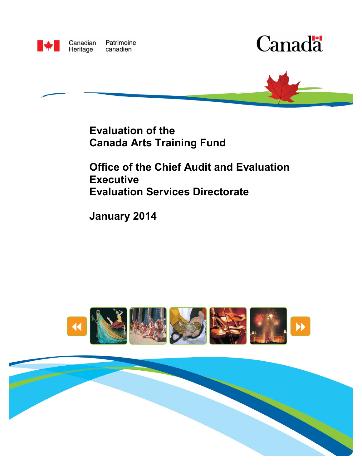

Canadian Patrimoine Heritage canadien





**Evaluation of the Canada Arts Training Fund** 

**Office of the Chief Audit and Evaluation Executive Evaluation Services Directorate**

**January 2014**



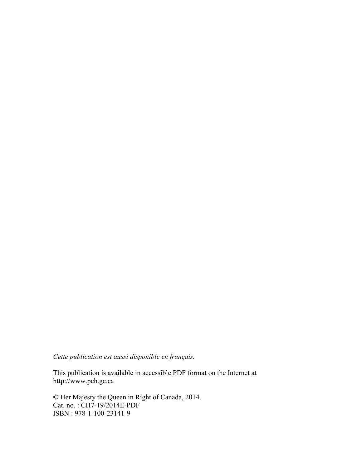*Cette publication est aussi disponible en français.* 

This publication is available in accessible PDF format on the Internet at http://www.pch.gc.ca

© Her Majesty the Queen in Right of Canada, 2014. Cat. no. : CH7-19/2014E-PDF ISBN : 978-1-100-23141-9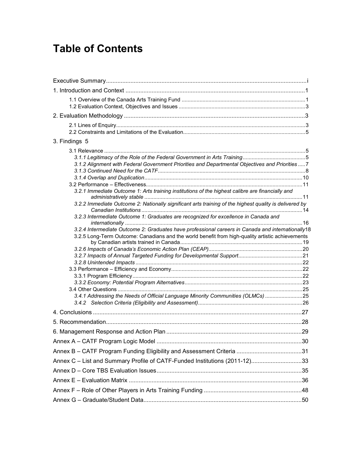# **Table of Contents**

| 3. Findings 5                                                                                          |  |
|--------------------------------------------------------------------------------------------------------|--|
| 3.1.2 Alignment with Federal Government Priorities and Departmental Objectives and Priorities7         |  |
| 3.2.1 Immediate Outcome 1: Arts training institutions of the highest calibre are financially and       |  |
| 3.2.2 Immediate Outcome 2: Nationally significant arts training of the highest quality is delivered by |  |
| 3.2.3 Intermediate Outcome 1: Graduates are recognized for excellence in Canada and                    |  |
| 3.2.4 Intermediate Outcome 2: Graduates have professional careers in Canada and internationally18      |  |
| 3.2.5 Long-Term Outcome: Canadians and the world benefit from high-quality artistic achievements       |  |
|                                                                                                        |  |
|                                                                                                        |  |
|                                                                                                        |  |
|                                                                                                        |  |
|                                                                                                        |  |
|                                                                                                        |  |
|                                                                                                        |  |
| 3.4.1 Addressing the Needs of Official Language Minority Communities (OLMCs) 25                        |  |
|                                                                                                        |  |
|                                                                                                        |  |
|                                                                                                        |  |
|                                                                                                        |  |
|                                                                                                        |  |
|                                                                                                        |  |
| Annex C - List and Summary Profile of CATF-Funded Institutions (2011-12)33                             |  |
|                                                                                                        |  |
|                                                                                                        |  |
|                                                                                                        |  |
|                                                                                                        |  |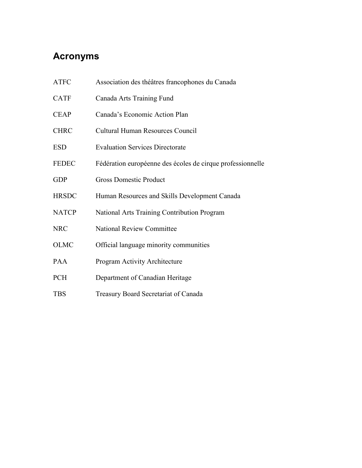# **Acronyms**

| <b>ATFC</b>  | Association des théâtres francophones du Canada            |
|--------------|------------------------------------------------------------|
| <b>CATF</b>  | Canada Arts Training Fund                                  |
| <b>CEAP</b>  | Canada's Economic Action Plan                              |
| <b>CHRC</b>  | Cultural Human Resources Council                           |
| <b>ESD</b>   | <b>Evaluation Services Directorate</b>                     |
| <b>FEDEC</b> | Fédération européenne des écoles de cirque professionnelle |
| <b>GDP</b>   | <b>Gross Domestic Product</b>                              |
| <b>HRSDC</b> | Human Resources and Skills Development Canada              |
| <b>NATCP</b> | National Arts Training Contribution Program                |
| <b>NRC</b>   | <b>National Review Committee</b>                           |
| <b>OLMC</b>  | Official language minority communities                     |
| PAA          | Program Activity Architecture                              |
| <b>PCH</b>   | Department of Canadian Heritage                            |
| <b>TBS</b>   | Treasury Board Secretariat of Canada                       |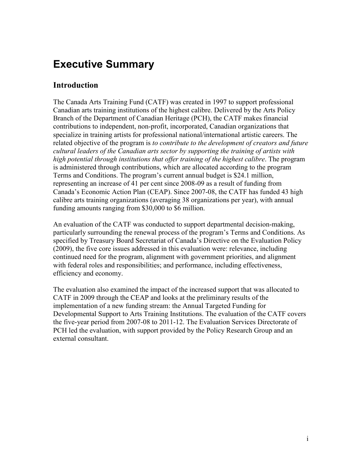# <span id="page-5-0"></span>**Executive Summary**

### **Introduction**

The Canada Arts Training Fund (CATF) was created in 1997 to support professional Canadian arts training institutions of the highest calibre. Delivered by the Arts Policy Branch of the Department of Canadian Heritage (PCH), the CATF makes financial contributions to independent, non-profit, incorporated, Canadian organizations that specialize in training artists for professional national/international artistic careers. The related objective of the program is *to contribute to the development of creators and future cultural leaders of the Canadian arts sector by supporting the training of artists with high potential through institutions that offer training of the highest calibre*. The program is administered through contributions, which are allocated according to the program Terms and Conditions. The program's current annual budget is \$24.1 million, representing an increase of 41 per cent since 2008-09 as a result of funding from Canada's Economic Action Plan (CEAP). Since 2007-08, the CATF has funded 43 high calibre arts training organizations (averaging 38 organizations per year), with annual funding amounts ranging from \$30,000 to \$6 million.

An evaluation of the CATF was conducted to support departmental decision-making, particularly surrounding the renewal process of the program's Terms and Conditions. As specified by Treasury Board Secretariat of Canada's Directive on the Evaluation Policy (2009), the five core issues addressed in this evaluation were: relevance, including continued need for the program, alignment with government priorities, and alignment with federal roles and responsibilities; and performance, including effectiveness, efficiency and economy.

The evaluation also examined the impact of the increased support that was allocated to CATF in 2009 through the CEAP and looks at the preliminary results of the implementation of a new funding stream: the Annual Targeted Funding for Developmental Support to Arts Training Institutions. The evaluation of the CATF covers the five-year period from 2007-08 to 2011-12. The Evaluation Services Directorate of PCH led the evaluation, with support provided by the Policy Research Group and an external consultant.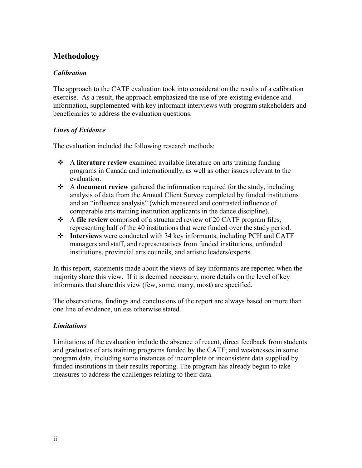### **Methodology**

#### *Calibration*

The approach to the CATF evaluation took into consideration the results of a calibration exercise. As a result, the approach emphasized the use of pre-existing evidence and information, supplemented with key informant interviews with program stakeholders and beneficiaries to address the evaluation questions.

#### *Lines of Evidence*

The evaluation included the following research methods:

- A **literature review** examined available literature on arts training funding programs in Canada and internationally, as well as other issues relevant to the evaluation.
- A **document review** gathered the information required for the study, including analysis of data from the Annual Client Survey completed by funded institutions and an "influence analysis" (which measured and contrasted influence of comparable arts training institution applicants in the dance discipline).
- A **file review** comprised of a structured review of 20 CATF program files, representing half of the 40 institutions that were funded over the study period.
- **Interviews** were conducted with 34 key informants, including PCH and CATF managers and staff, and representatives from funded institutions, unfunded institutions, provincial arts councils, and artistic leaders/experts.

In this report, statements made about the views of key informants are reported when the majority share this view. If it is deemed necessary, more details on the level of key informants that share this view (few, some, many, most) are specified.

The observations, findings and conclusions of the report are always based on more than one line of evidence, unless otherwise stated.

#### *Limitations*

Limitations of the evaluation include the absence of recent, direct feedback from students and graduates of arts training programs funded by the CATF; and weaknesses in some program data, including some instances of incomplete or inconsistent data supplied by funded institutions in their results reporting. The program has already begun to take measures to address the challenges relating to their data.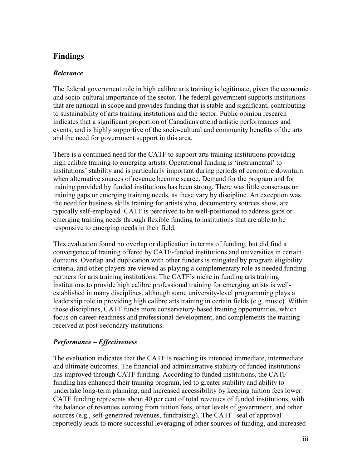## **Findings**

#### *Relevance*

The federal government role in high calibre arts training is legitimate, given the economic and socio-cultural importance of the sector. The federal government supports institutions that are national in scope and provides funding that is stable and significant, contributing to sustainability of arts training institutions and the sector. Public opinion research indicates that a significant proportion of Canadians attend artistic performances and events, and is highly supportive of the socio-cultural and community benefits of the arts and the need for government support in this area.

There is a continued need for the CATF to support arts training institutions providing high calibre training to emerging artists. Operational funding is 'instrumental' to institutions' stability and is particularly important during periods of economic downturn when alternative sources of revenue become scarce. Demand for the program and for training provided by funded institutions has been strong. There was little consensus on training gaps or emerging training needs, as these vary by discipline. An exception was the need for business skills training for artists who, documentary sources show, are typically self-employed. CATF is perceived to be well-positioned to address gaps or emerging training needs through flexible funding to institutions that are able to be responsive to emerging needs in their field.

This evaluation found no overlap or duplication in terms of funding, but did find a convergence of training offered by CATF-funded institutions and universities in certain domains. Overlap and duplication with other funders is mitigated by program eligibility criteria, and other players are viewed as playing a complementary role as needed funding partners for arts training institutions. The CATF's niche in funding arts training institutions to provide high calibre professional training for emerging artists is wellestablished in many disciplines, although some university-level programming plays a leadership role in providing high calibre arts training in certain fields (e.g. music). Within those disciplines, CATF funds more conservatory-based training opportunities, which focus on career-readiness and professional development, and complements the training received at post-secondary institutions.

#### *Performance – Effectiveness*

The evaluation indicates that the CATF is reaching its intended immediate, intermediate and ultimate outcomes. The financial and administrative stability of funded institutions has improved through CATF funding. According to funded institutions, the CATF funding has enhanced their training program, led to greater stability and ability to undertake long-term planning, and increased accessibility by keeping tuition fees lower. CATF funding represents about 40 per cent of total revenues of funded institutions, with the balance of revenues coming from tuition fees, other levels of government, and other sources (e.g., self-generated revenues, fundraising). The CATF 'seal of approval' reportedly leads to more successful leveraging of other sources of funding, and increased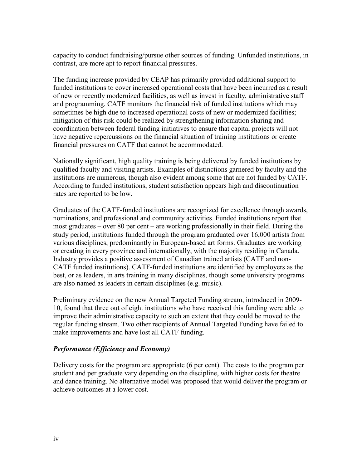capacity to conduct fundraising/pursue other sources of funding. Unfunded institutions, in contrast, are more apt to report financial pressures.

The funding increase provided by CEAP has primarily provided additional support to funded institutions to cover increased operational costs that have been incurred as a result of new or recently modernized facilities, as well as invest in faculty, administrative staff and programming. CATF monitors the financial risk of funded institutions which may sometimes be high due to increased operational costs of new or modernized facilities; mitigation of this risk could be realized by strengthening information sharing and coordination between federal funding initiatives to ensure that capital projects will not have negative repercussions on the financial situation of training institutions or create financial pressures on CATF that cannot be accommodated.

Nationally significant, high quality training is being delivered by funded institutions by qualified faculty and visiting artists. Examples of distinctions garnered by faculty and the institutions are numerous, though also evident among some that are not funded by CATF. According to funded institutions, student satisfaction appears high and discontinuation rates are reported to be low.

Graduates of the CATF-funded institutions are recognized for excellence through awards, nominations, and professional and community activities. Funded institutions report that most graduates – over 80 per cent – are working professionally in their field. During the study period, institutions funded through the program graduated over 16,000 artists from various disciplines, predominantly in European-based art forms. Graduates are working or creating in every province and internationally, with the majority residing in Canada. Industry provides a positive assessment of Canadian trained artists (CATF and non-CATF funded institutions). CATF-funded institutions are identified by employers as the best, or as leaders, in arts training in many disciplines, though some university programs are also named as leaders in certain disciplines (e.g. music).

Preliminary evidence on the new Annual Targeted Funding stream, introduced in 2009- 10, found that three out of eight institutions who have received this funding were able to improve their administrative capacity to such an extent that they could be moved to the regular funding stream. Two other recipients of Annual Targeted Funding have failed to make improvements and have lost all CATF funding.

#### *Performance (Efficiency and Economy)*

Delivery costs for the program are appropriate (6 per cent). The costs to the program per student and per graduate vary depending on the discipline, with higher costs for theatre and dance training. No alternative model was proposed that would deliver the program or achieve outcomes at a lower cost.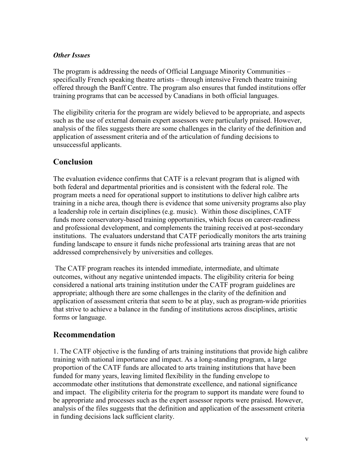#### *Other Issues*

The program is addressing the needs of Official Language Minority Communities – specifically French speaking theatre artists – through intensive French theatre training offered through the Banff Centre. The program also ensures that funded institutions offer training programs that can be accessed by Canadians in both official languages.

The eligibility criteria for the program are widely believed to be appropriate, and aspects such as the use of external domain expert assessors were particularly praised. However, analysis of the files suggests there are some challenges in the clarity of the definition and application of assessment criteria and of the articulation of funding decisions to unsuccessful applicants.

### **Conclusion**

The evaluation evidence confirms that CATF is a relevant program that is aligned with both federal and departmental priorities and is consistent with the federal role. The program meets a need for operational support to institutions to deliver high calibre arts training in a niche area, though there is evidence that some university programs also play a leadership role in certain disciplines (e.g. music). Within those disciplines, CATF funds more conservatory-based training opportunities, which focus on career-readiness and professional development, and complements the training received at post-secondary institutions. The evaluators understand that CATF periodically monitors the arts training funding landscape to ensure it funds niche professional arts training areas that are not addressed comprehensively by universities and colleges.

 The CATF program reaches its intended immediate, intermediate, and ultimate outcomes, without any negative unintended impacts. The eligibility criteria for being considered a national arts training institution under the CATF program guidelines are appropriate; although there are some challenges in the clarity of the definition and application of assessment criteria that seem to be at play, such as program-wide priorities that strive to achieve a balance in the funding of institutions across disciplines, artistic forms or language.

### **Recommendation**

1. The CATF objective is the funding of arts training institutions that provide high calibre training with national importance and impact. As a long-standing program, a large proportion of the CATF funds are allocated to arts training institutions that have been funded for many years, leaving limited flexibility in the funding envelope to accommodate other institutions that demonstrate excellence, and national significance and impact. The eligibility criteria for the program to support its mandate were found to be appropriate and processes such as the expert assessor reports were praised. However, analysis of the files suggests that the definition and application of the assessment criteria in funding decisions lack sufficient clarity.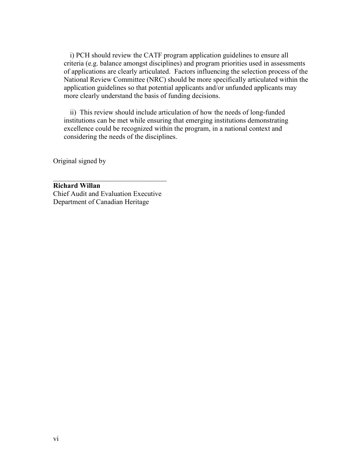i) PCH should review the CATF program application guidelines to ensure all criteria (e.g. balance amongst disciplines) and program priorities used in assessments of applications are clearly articulated. Factors influencing the selection process of the National Review Committee (NRC) should be more specifically articulated within the application guidelines so that potential applicants and/or unfunded applicants may more clearly understand the basis of funding decisions.

ii) This review should include articulation of how the needs of long-funded institutions can be met while ensuring that emerging institutions demonstrating excellence could be recognized within the program, in a national context and considering the needs of the disciplines.

Original signed by

 $\overline{\phantom{a}}$  , and the set of the set of the set of the set of the set of the set of the set of the set of the set of the set of the set of the set of the set of the set of the set of the set of the set of the set of the s **Richard Willan** Chief Audit and Evaluation Executive Department of Canadian Heritage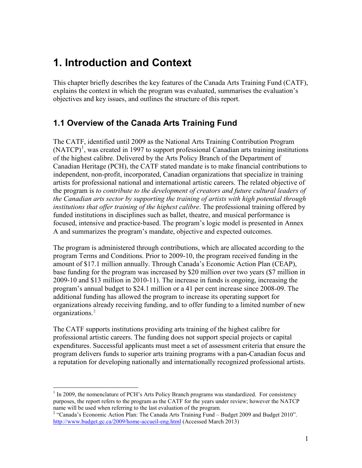# <span id="page-11-0"></span>**1. Introduction and Context**

This chapter briefly describes the key features of the Canada Arts Training Fund (CATF), explains the context in which the program was evaluated, summarises the evaluation's objectives and key issues, and outlines the structure of this report.

### <span id="page-11-1"></span>**1.1 Overview of the Canada Arts Training Fund**

The CATF, identified until 2009 as the National Arts Training Contribution Program  $(NATCP)<sup>1</sup>$  $(NATCP)<sup>1</sup>$  $(NATCP)<sup>1</sup>$ , was created in 1997 to support professional Canadian arts training institutions of the highest calibre. Delivered by the Arts Policy Branch of the Department of Canadian Heritage (PCH), the CATF stated mandate is to make financial contributions to independent, non-profit, incorporated, Canadian organizations that specialize in training artists for professional national and international artistic careers. The related objective of the program is *to contribute to the development of creators and future cultural leaders of the Canadian arts sector by supporting the training of artists with high potential through institutions that offer training of the highest calibre*. The professional training offered by funded institutions in disciplines such as ballet, theatre, and musical performance is focused, intensive and practice-based. The program's logic model is presented in Annex A and summarizes the program's mandate, objective and expected outcomes.

The program is administered through contributions, which are allocated according to the program Terms and Conditions. Prior to 2009-10, the program received funding in the amount of \$17.1 million annually. Through Canada's Economic Action Plan (CEAP), base funding for the program was increased by \$20 million over two years (\$7 million in 2009-10 and \$13 million in 2010-11). The increase in funds is ongoing, increasing the program's annual budget to \$24.1 million or a 41 per cent increase since 2008-09. The additional funding has allowed the program to increase its operating support for organizations already receiving funding, and to offer funding to a limited number of new organizations.[2](#page-11-3)

The CATF supports institutions providing arts training of the highest calibre for professional artistic careers. The funding does not support special projects or capital expenditures. Successful applicants must meet a set of assessment criteria that ensure the program delivers funds to superior arts training programs with a pan-Canadian focus and a reputation for developing nationally and internationally recognized professional artists.

<span id="page-11-2"></span> $<sup>1</sup>$  In 2009, the nomenclature of PCH's Arts Policy Branch programs was standardized. For consistency</sup> purposes, the report refers to the program as the CATF for the years under review; however the NATCP name will be used when referring to the last evaluation of the program.<br><sup>2</sup> "Canada's Economic Action Plan: The Canada Arts Training Fund – Budget 2009 and Budget 2010".  $\overline{a}$ 

<span id="page-11-3"></span><http://www.budget.gc.ca/2009/home-accueil-eng.html> (Accessed March 2013)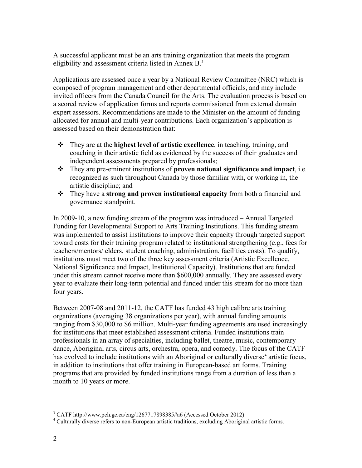A successful applicant must be an arts training orga[niz](#page-13-3)ation that meets the program eligibility and assessment criteria listed in Annex B. 3

Applications are assessed once a year by a National Review Committee (NRC) which is composed of program management and other departmental officials, and may include invited officers from the Canada Council for the Arts. The evaluation process is based on a scored review of application forms and reports commissioned from external domain expert assessors. Recommendations are made to the Minister on the amount of funding allocated for annual and multi-year contributions. Each organization's application is assessed based on their demonstration that:

- They are at the **highest level of artistic excellence**, in teaching, training, and coaching in their artistic field as evidenced by the success of their graduates and independent assessments prepared by professionals;
- They are pre-eminent institutions of **proven national significance and impact**, i.e. recognized as such throughout Canada by those familiar with, or working in, the artistic discipline; and
- They have a **strong and proven institutional capacity** from both a financial and governance standpoint.

In 2009-10, a new funding stream of the program was introduced – Annual Targeted Funding for Developmental Support to Arts Training Institutions. This funding stream was implemented to assist institutions to improve their capacity through targeted support toward costs for their training program related to institutional strengthening (e.g., fees for teachers/mentors/ elders, student coaching, administration, facilities costs). To qualify, institutions must meet two of the three key assessment criteria (Artistic Excellence, National Significance and Impact, Institutional Capacity). Institutions that are funded under this stream cannot receive more than \$600,000 annually. They are assessed every year to evaluate their long-term potential and funded under this stream for no more than four years.

Between 2007-08 and 2011-12, the CATF has funded 43 high calibre arts training organizations (averaging 38 organizations per year), with annual funding amounts ranging from \$30,000 to \$6 million. Multi-year funding agreements are used increasingly for institutions that meet established assessment criteria. Funded institutions train professionals in an array of specialties, including ballet, theatre, music, contemporary dance, Aboriginal arts, circus arts, orchestra, opera, and comedy. The focus of the CATF has evolved to include institutions with an Aboriginal or culturally diverse<sup>[4](#page-12-0)</sup> artistic focus, in addition to institutions that offer training in European-based art forms. Training programs that are provided by funded institutions range from a duration of less than a month to 10 years or more.

 $3$  CATF http://www.pch.gc.ca/eng/1267717898385#a6 (Accessed October 2012)  $\overline{a}$ 

<span id="page-12-0"></span>[<sup>4</sup>](#page-13-3) Culturally diverse refers to non-European artistic traditions, excluding Aboriginal artistic forms.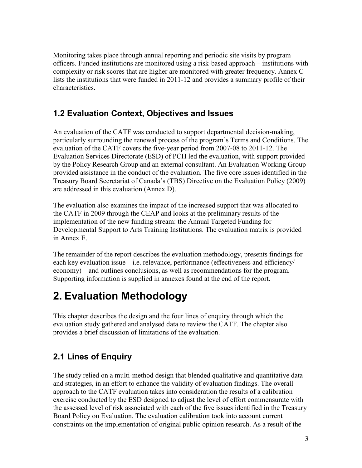<span id="page-13-3"></span>Monitoring takes place through annual reporting and periodic site visits by program officers. Funded institutions are monitored using a risk-based approach – institutions with complexity or risk scores that are higher are monitored with greater frequency. Annex C lists the institutions that were funded in 2011-12 and provides a summary profile of their characteristics.

## <span id="page-13-0"></span>**1.2 Evaluation Context, Objectives and Issues**

An evaluation of the CATF was conducted to support departmental decision-making, particularly surrounding the renewal process of the program's Terms and Conditions. The evaluation of the CATF covers the five-year period from 2007-08 to 2011-12. The Evaluation Services Directorate (ESD) of PCH led the evaluation, with support provided by the Policy Research Group and an external consultant. An Evaluation Working Group provided assistance in the conduct of the evaluation. The five core issues identified in the Treasury Board Secretariat of Canada's (TBS) Directive on the Evaluation Policy (2009) are addressed in this evaluation (Annex D).

The evaluation also examines the impact of the increased support that was allocated to the CATF in 2009 through the CEAP and looks at the preliminary results of the implementation of the new funding stream: the Annual Targeted Funding for Developmental Support to Arts Training Institutions. The evaluation matrix is provided in Annex E.

The remainder of the report describes the evaluation methodology, presents findings for each key evaluation issue—i.e. relevance, performance (effectiveness and efficiency/ economy)—and outlines conclusions, as well as recommendations for the program. Supporting information is supplied in annexes found at the end of the report.

# <span id="page-13-1"></span>**2. Evaluation Methodology**

This chapter describes the design and the four lines of enquiry through which the evaluation study gathered and analysed data to review the CATF. The chapter also provides a brief discussion of limitations of the evaluation.

# <span id="page-13-2"></span>**2.1 Lines of Enquiry**

The study relied on a multi-method design that blended qualitative and quantitative data and strategies, in an effort to enhance the validity of evaluation findings. The overall approach to the CATF evaluation takes into consideration the results of a calibration exercise conducted by the ESD designed to adjust the level of effort commensurate with the assessed level of risk associated with each of the five issues identified in the Treasury Board Policy on Evaluation. The evaluation calibration took into account current constraints on the implementation of original public opinion research. As a result of the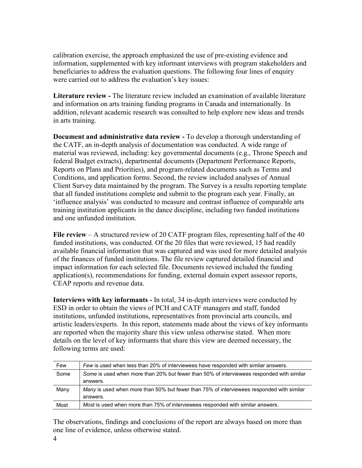calibration exercise, the approach emphasized the use of pre-existing evidence and information, supplemented with key informant interviews with program stakeholders and beneficiaries to address the evaluation questions. The following four lines of enquiry were carried out to address the evaluation's key issues:

**Literature review -** The literature review included an examination of available literature and information on arts training funding programs in Canada and internationally. In addition, relevant academic research was consulted to help explore new ideas and trends in arts training.

**Document and administrative data review -** To develop a thorough understanding of the CATF, an in-depth analysis of documentation was conducted. A wide range of material was reviewed, including: key governmental documents (e.g., Throne Speech and federal Budget extracts), departmental documents (Department Performance Reports, Reports on Plans and Priorities), and program-related documents such as Terms and Conditions, and application forms. Second, the review included analyses of Annual Client Survey data maintained by the program. The Survey is a results reporting template that all funded institutions complete and submit to the program each year. Finally, an 'influence analysis' was conducted to measure and contrast influence of comparable arts training institution applicants in the dance discipline, including two funded institutions and one unfunded institution.

**File review** – A structured review of 20 CATF program files, representing half of the 40 funded institutions, was conducted. Of the 20 files that were reviewed, 15 had readily available financial information that was captured and was used for more detailed analysis of the finances of funded institutions. The file review captured detailed financial and impact information for each selected file. Documents reviewed included the funding application(s), recommendations for funding, external domain expert assessor reports, CEAP reports and revenue data.

**Interviews with key informants -** In total, 34 in-depth interviews were conducted by ESD in order to obtain the views of PCH and CATF managers and staff, funded institutions, unfunded institutions, representatives from provincial arts councils, and artistic leaders/experts. In this report, statements made about the views of key informants are reported when the majority share this view unless otherwise stated. When more details on the level of key informants that share this view are deemed necessary, the following terms are used:

| Few  | Few is used when less than 20% of interviewees have responded with similar answers.              |
|------|--------------------------------------------------------------------------------------------------|
| Some | Some is used when more than 20% but fewer than 50% of interviewees responded with similar        |
|      | answers.                                                                                         |
| Many | <i>Many</i> is used when more than 50% but fewer than 75% of interviewees responded with similar |
|      | answers.                                                                                         |
| Most | Most is used when more than 75% of interviewees responded with similar answers.                  |

The observations, findings and conclusions of the report are always based on more than one line of evidence, unless otherwise stated.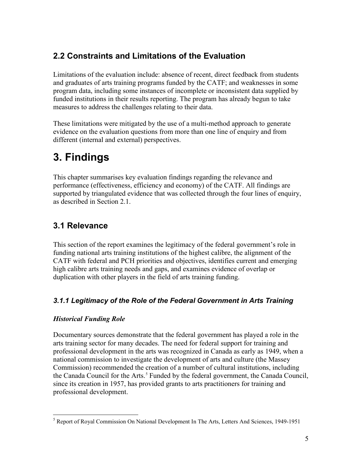## <span id="page-15-0"></span>**2.2 Constraints and Limitations of the Evaluation**

Limitations of the evaluation include: absence of recent, direct feedback from students and graduates of arts training programs funded by the CATF; and weaknesses in some program data, including some instances of incomplete or inconsistent data supplied by funded institutions in their results reporting. The program has already begun to take measures to address the challenges relating to their data.

These limitations were mitigated by the use of a multi-method approach to generate evidence on the evaluation questions from more than one line of enquiry and from different (internal and external) perspectives.

# <span id="page-15-1"></span>**3. Findings**

This chapter summarises key evaluation findings regarding the relevance and performance (effectiveness, efficiency and economy) of the CATF. All findings are supported by triangulated evidence that was collected through the four lines of enquiry, as described in Section 2.1.

## <span id="page-15-2"></span>**3.1 Relevance**

This section of the report examines the legitimacy of the federal government's role in funding national arts training institutions of the highest calibre, the alignment of the CATF with federal and PCH priorities and objectives, identifies current and emerging high calibre arts training needs and gaps, and examines evidence of overlap or duplication with other players in the field of arts training funding.

### <span id="page-15-3"></span>*3.1.1 Legitimacy of the Role of the Federal Government in Arts Training*

### *Historical Funding Role*

Documentary sources demonstrate that the federal government has played a role in the arts training sector for many decades. The need for federal support for training and professional development in the arts was recognized in Canada as early as 1949, when a national commission to investigate the development of arts and culture (the Massey Commission) recommended the creation of a number of cultural institutions, including the Canada Council for the Arts.<sup>[5](#page-15-4)</sup> Funded by the federal government, the Canada Council, since its creation in 1957, has provided grants to arts practitioners for training and professional development.

<span id="page-15-4"></span><sup>&</sup>lt;sup>[5](#page-16-0)</sup> Report of Royal Commission On National Development In The Arts, Letters And Sciences, 1949-1951  $\overline{a}$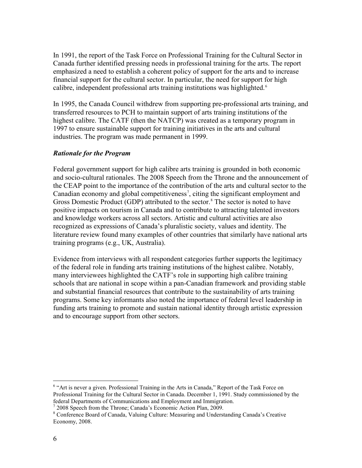<span id="page-16-0"></span>In 1991, the report of the Task Force on Professional Training for the Cultural Sector in Canada further identified pressing needs in professional training for the arts. The report emphasized a need to establish a coherent policy of support for the arts and to increase financial support for the cultural sector. In particular, the need for support for high calibre, independent professional arts training institutions was highlighted.<sup>[6](#page-16-1)</sup>

In 1995, the Canada Council withdrew from supporting pre-professional arts training, and transferred resources to PCH to maintain support of arts training institutions of the highest calibre. The CATF (then the NATCP) was created as a temporary program in 1997 to ensure sustainable support for training initiatives in the arts and cultural industries. The program was made permanent in 1999.

#### *Rationale for the Program*

Federal government support for high calibre arts training is grounded in both economic and socio-cultural rationales. The 2008 Speech from the Throne and the announcement of the CEAP point to the importance of the contribution of the arts and cultural sector to the Canadian economy and global competitiveness<sup>[7](#page-16-2)</sup>, citing the significant employment and Gross Domestic Product (GDP) attributed to the sector. [8](#page-16-3) The sector is noted to have positive impacts on tourism in Canada and to contribute to attracting talented investors and knowledge workers across all sectors. Artistic and cultural activities are also recognized as expressions of Canada's pluralistic society, values and identity. The literature review found many examples of other countries that similarly have national arts training programs (e.g., UK, Australia).

Evidence from interviews with all respondent categories further supports the legitimacy of the federal role in funding arts training institutions of the highest calibre. Notably, many interviewees highlighted the CATF's role in supporting high calibre training schools that are national in scope within a pan-Canadian framework and providing stable and substantial financial resources that contribute to the sustainability of arts training programs. Some key informants also noted the importance of federal level leadership in funding arts training to promote and sustain national identity through artistic expression and to encourage support from other sectors.

<span id="page-16-1"></span><sup>&</sup>lt;sup>6</sup> "Art is never a given. Professional Training in the Arts in Canada," Report of the Task Force on Professional Training for the Cultural Sector in Canada. December 1, 1991. Study commissioned by the federal Departments of Communications and Employment and Immigration. 7 2008 Speech from the Throne; Canada's Economic Action Plan, 2009.  $\overline{a}$ 

<span id="page-16-3"></span><span id="page-16-2"></span><sup>&</sup>lt;sup>8</sup> Conference Board of Canada, Valuing Culture: Measuring and Understanding Canada's Creative Economy, 2008.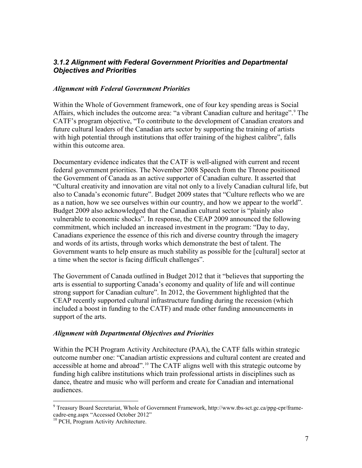#### <span id="page-17-0"></span>*3.1.2 Alignment with Federal Government Priorities and Departmental Objectives and Priorities*

#### *Alignment with Federal Government Priorities*

Within the Whole of Government framework, one of four key spending areas is Social Affairs, which includes the outcome area: "a vibrant Canadian culture and heritage". [9](#page-17-1) The CATF's program objective, "To contribute to the development of Canadian creators and future cultural leaders of the Canadian arts sector by supporting the training of artists with high potential through institutions that offer training of the highest calibre", falls within this outcome area.

Documentary evidence indicates that the CATF is well-aligned with current and recent federal government priorities. The November 2008 Speech from the Throne positioned the Government of Canada as an active supporter of Canadian culture. It asserted that "Cultural creativity and innovation are vital not only to a lively Canadian cultural life, but also to Canada's economic future". Budget 2009 states that "Culture reflects who we are as a nation, how we see ourselves within our country, and how we appear to the world". Budget 2009 also acknowledged that the Canadian cultural sector is "plainly also vulnerable to economic shocks". In response, the CEAP 2009 announced the following commitment, which included an increased investment in the program: "Day to day, Canadians experience the essence of this rich and diverse country through the imagery and words of its artists, through works which demonstrate the best of talent. The Government wants to help ensure as much stability as possible for the [cultural] sector at a time when the sector is facing difficult challenges".

The Government of Canada outlined in Budget 2012 that it "believes that supporting the arts is essential to supporting Canada's economy and quality of life and will continue strong support for Canadian culture". In 2012, the Government highlighted that the CEAP recently supported cultural infrastructure funding during the recession (which included a boost in funding to the CATF) and made other funding announcements in support of the arts.

#### *Alignment with Departmental Objectives and Priorities*

Within the PCH Program Activity Architecture (PAA), the CATF falls within strategic outcome number one: "Canadian artistic expressions and cultural content are created and accessible at home and abroad".<sup>[10](#page-17-2)</sup> The CATF aligns well with this strategic outcome by funding high calibre institutions which train professional artists in disciplines such as dance, theatre and music who will perform and create for Canadian and international audiences.

<span id="page-17-1"></span><sup>&</sup>lt;sup>9</sup> Treasury Board Secretariat, Whole of Government Framework, http://www.tbs-sct.gc.ca/ppg-cpr/framecadre-eng.aspx "Accessed October 2012"

<span id="page-17-2"></span><sup>&</sup>lt;sup>[10](#page-18-1)</sup> PCH, Program Activity Architecture.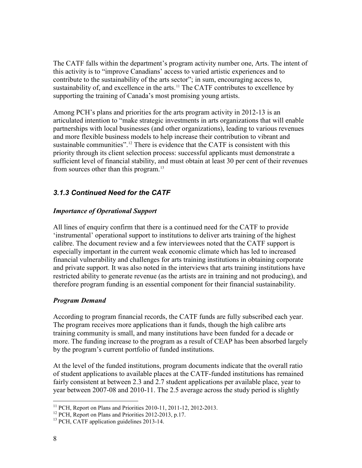<span id="page-18-1"></span>The CATF falls within the department's program activity number one, Arts. The intent of this activity is to "improve Canadians' access to varied artistic experiences and to contribute to the sustainability of the arts sector"; in sum, encouraging access to, sustainability of, and excellence in the arts.<sup>[11](#page-18-2)</sup> The CATF contributes to excellence by supporting the training of Canada's most promising young artists.

Among PCH's plans and priorities for the arts program activity in 2012-13 is an articulated intention to "make strategic investments in arts organizations that will enable partnerships with local businesses (and other organizations), leading to various revenues and more flexible business models to help increase their contribution to vibrant and sustainable communities".<sup>[12](#page-18-3)</sup> There is evidence that the CATF is consistent with this priority through its client selection process: successful applicants must demonstrate a sufficient level of financial stability, and must obtain at least 30 per cent of their revenues from sources other than this program.<sup>[13](#page-18-4)</sup>

### <span id="page-18-0"></span>*3.1.3 Continued Need for the CATF*

#### *Importance of Operational Support*

All lines of enquiry confirm that there is a continued need for the CATF to provide 'instrumental' operational support to institutions to deliver arts training of the highest calibre. The document review and a few interviewees noted that the CATF support is especially important in the current weak economic climate which has led to increased financial vulnerability and challenges for arts training institutions in obtaining corporate and private support. It was also noted in the interviews that arts training institutions have restricted ability to generate revenue (as the artists are in training and not producing), and therefore program funding is an essential component for their financial sustainability.

#### *Program Demand*

According to program financial records, the CATF funds are fully subscribed each year. The program receives more applications than it funds, though the high calibre arts training community is small, and many institutions have been funded for a decade or more. The funding increase to the program as a result of CEAP has been absorbed largely by the program's current portfolio of funded institutions.

At the level of the funded institutions, program documents indicate that the overall ratio of student applications to available places at the CATF-funded institutions has remained fairly consistent at between 2.3 and 2.7 student applications per available place, year to year between 2007-08 and 2010-11. The 2.5 average across the study period is slightly

<span id="page-18-2"></span><sup>&</sup>lt;sup>11</sup> PCH, Report on Plans and Priorities 2010-11, 2011-12, 2012-2013.<br><sup>12</sup> PCH, Report on Plans and Priorities 2012-2013, p.17.  $\overline{a}$ 

<span id="page-18-3"></span>

<span id="page-18-4"></span><sup>&</sup>lt;sup>13</sup> PCH, CATF application guidelines 2013-14.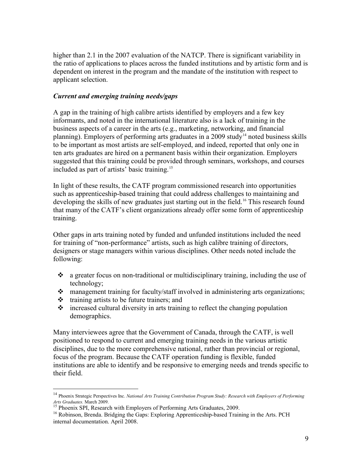higher than 2.1 in the 2007 evaluation of the NATCP. There is significant variability in the ratio of applications to places across the funded institutions and by artistic form and is dependent on interest in the program and the mandate of the institution with respect to applicant selection.

#### *Current and emerging training needs/gaps*

A gap in the training of high calibre artists identified by employers and a few key informants, and noted in the international literature also is a lack of training in the business aspects of a career in the arts (e.g., marketing, networking, and financial planning). Employers of performing arts graduates in a 2009 study<sup>[14](#page-19-0)</sup> noted business skills to be important as most artists are self-employed, and indeed, reported that only one in ten arts graduates are hired on a permanent basis within their organization. Employers suggested that this training could be provided through seminars, workshops, and courses included as part of artists' basic training.[15](#page-19-1)

In light of these results, the CATF program commissioned research into opportunities such as apprenticeship-based training that could address challenges to maintaining and developing the skills of new graduates just starting out in the field.<sup>16</sup> This research found that many of the CATF's client organizations already offer some form of apprenticeship training.

Other gaps in arts training noted by funded and unfunded institutions included the need for training of "non-performance" artists, such as high calibre training of directors, designers or stage managers within various disciplines. Other needs noted include the following:

- $\bullet$  a greater focus on non-traditional or multidisciplinary training, including the use of technology;
- management training for faculty/staff involved in administering arts organizations;
- $\triangleleft$  training artists to be future trainers; and

 $\overline{a}$ 

 $\cdot$  increased cultural diversity in arts training to reflect the changing population demographics.

Many interviewees agree that the Government of Canada, through the CATF, is well positioned to respond to current and emerging training needs in the various artistic disciplines, due to the more comprehensive national, rather than provincial or regional, focus of the program. Because the CATF operation funding is flexible, funded institutions are able to identify and be responsive to emerging needs and trends specific to their field.

<span id="page-19-0"></span><sup>14</sup> Phoenix Strategic Perspectives Inc. *National Arts Training Contribution Program Study: Research with Employers of Performing* 

*Arts Graduates.* March 2009. <sup>15</sup> Phoenix SPI, Research with Employers of Performing Arts Graduates, 2009.

<span id="page-19-2"></span><span id="page-19-1"></span><sup>&</sup>lt;sup>16</sup> Robinson, Brenda. Bridging the Gaps: Exploring Apprenticeship-based Training in the Arts. PCH internal documentation. April 2008.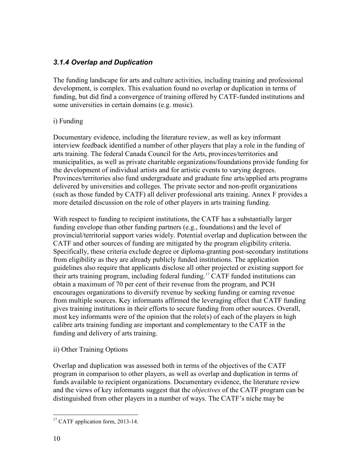### <span id="page-20-0"></span>*3.1.4 Overlap and Duplication*

The funding landscape for arts and culture activities, including training and professional development, is complex. This evaluation found no overlap or duplication in terms of funding, but did find a convergence of training offered by CATF-funded institutions and some universities in certain domains (e.g. music).

#### i) Funding

Documentary evidence, including the literature review, as well as key informant interview feedback identified a number of other players that play a role in the funding of arts training. The federal Canada Council for the Arts, provinces/territories and municipalities, as well as private charitable organizations/foundations provide funding for the development of individual artists and for artistic events to varying degrees. Provinces/territories also fund undergraduate and graduate fine arts/applied arts programs delivered by universities and colleges. The private sector and non-profit organizations (such as those funded by CATF) all deliver professional arts training. Annex F provides a more detailed discussion on the role of other players in arts training funding.

With respect to funding to recipient institutions, the CATF has a substantially larger funding envelope than other funding partners (e.g., foundations) and the level of provincial/territorial support varies widely. Potential overlap and duplication between the CATF and other sources of funding are mitigated by the program eligibility criteria. Specifically, these criteria exclude degree or diploma-granting post-secondary institutions from eligibility as they are already publicly funded institutions. The application guidelines also require that applicants disclose all other projected or existing support for their arts training program, including federal funding.[17](#page-20-1) CATF funded institutions can obtain a maximum of 70 per cent of their revenue from the program, and PCH encourages organizations to diversify revenue by seeking funding or earning revenue from multiple sources. Key informants affirmed the leveraging effect that CATF funding gives training institutions in their efforts to secure funding from other sources. Overall, most key informants were of the opinion that the role(s) of each of the players in high calibre arts training funding are important and complementary to the CATF in the funding and delivery of arts training.

#### ii) Other Training Options

Overlap and duplication was assessed both in terms of the objectives of the CATF program in comparison to other players, as well as overlap and duplication in terms of funds available to recipient organizations. Documentary evidence, the literature review and the views of key informants suggest that the *objectives* of the CATF program can be distinguished from other players in a number of ways. The CATF's niche may be

<span id="page-20-1"></span><sup>&</sup>lt;sup>17</sup> CATF application form, 2013-14.  $\overline{a}$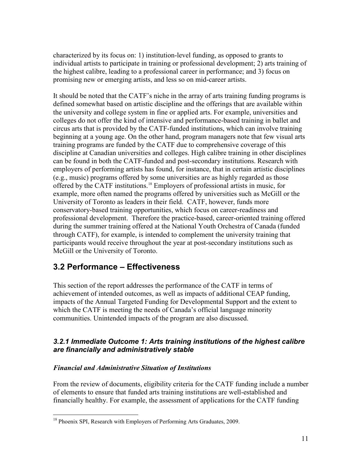characterized by its focus on: 1) institution-level funding, as opposed to grants to individual artists to participate in training or professional development; 2) arts training of the highest calibre, leading to a professional career in performance; and 3) focus on promising new or emerging artists, and less so on mid-career artists.

It should be noted that the CATF's niche in the array of arts training funding programs is defined somewhat based on artistic discipline and the offerings that are available within the university and college system in fine or applied arts. For example, universities and colleges do not offer the kind of intensive and performance-based training in ballet and circus arts that is provided by the CATF-funded institutions, which can involve training beginning at a young age. On the other hand, program managers note that few visual arts training programs are funded by the CATF due to comprehensive coverage of this discipline at Canadian universities and colleges. High calibre training in other disciplines can be found in both the CATF-funded and post-secondary institutions. Research with employers of performing artists has found, for instance, that in certain artistic disciplines (e.g., music) programs offered by some universities are as highly regarded as those offered by the CATF institutions. [18](#page-21-2) Employers of professional artists in music, for example, more often named the programs offered by universities such as McGill or the University of Toronto as leaders in their field. CATF, however, funds more conservatory-based training opportunities, which focus on career-readiness and professional development. Therefore the practice-based, career-oriented training offered during the summer training offered at the National Youth Orchestra of Canada (funded through CATF), for example, is intended to complement the university training that participants would receive throughout the year at post-secondary institutions such as McGill or the University of Toronto.

### <span id="page-21-0"></span>**3.2 Performance – Effectiveness**

This section of the report addresses the performance of the CATF in terms of achievement of intended outcomes, as well as impacts of additional CEAP funding, impacts of the Annual Targeted Funding for Developmental Support and the extent to which the CATF is meeting the needs of Canada's official language minority communities. Unintended impacts of the program are also discussed.

#### <span id="page-21-1"></span>*3.2.1 Immediate Outcome 1: Arts training institutions of the highest calibre are financially and administratively stable*

#### *Financial and Administrative Situation of Institutions*

 $\overline{a}$ 

From the review of documents, eligibility criteria for the CATF funding include a number of elements to ensure that funded arts training institutions are well-established and financially healthy. For example, the assessment of applications for the CATF funding

<span id="page-21-2"></span><sup>&</sup>lt;sup>18</sup> Phoenix SPI, Research with Employers of Performing Arts Graduates, 2009.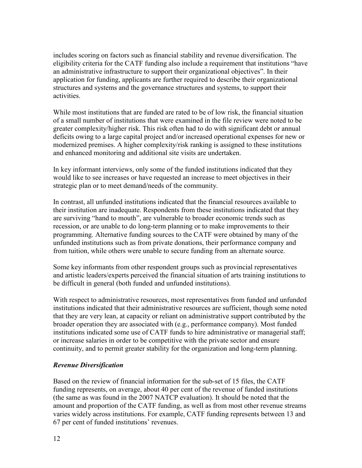includes scoring on factors such as financial stability and revenue diversification. The eligibility criteria for the CATF funding also include a requirement that institutions "have an administrative infrastructure to support their organizational objectives". In their application for funding, applicants are further required to describe their organizational structures and systems and the governance structures and systems, to support their activities.

While most institutions that are funded are rated to be of low risk, the financial situation of a small number of institutions that were examined in the file review were noted to be greater complexity/higher risk. This risk often had to do with significant debt or annual deficits owing to a large capital project and/or increased operational expenses for new or modernized premises. A higher complexity/risk ranking is assigned to these institutions and enhanced monitoring and additional site visits are undertaken.

In key informant interviews, only some of the funded institutions indicated that they would like to see increases or have requested an increase to meet objectives in their strategic plan or to meet demand/needs of the community.

In contrast, all unfunded institutions indicated that the financial resources available to their institution are inadequate. Respondents from these institutions indicated that they are surviving "hand to mouth", are vulnerable to broader economic trends such as recession, or are unable to do long-term planning or to make improvements to their programming. Alternative funding sources to the CATF were obtained by many of the unfunded institutions such as from private donations, their performance company and from tuition, while others were unable to secure funding from an alternate source.

Some key informants from other respondent groups such as provincial representatives and artistic leaders/experts perceived the financial situation of arts training institutions to be difficult in general (both funded and unfunded institutions).

With respect to administrative resources, most representatives from funded and unfunded institutions indicated that their administrative resources are sufficient, though some noted that they are very lean, at capacity or reliant on administrative support contributed by the broader operation they are associated with (e.g., performance company). Most funded institutions indicated some use of CATF funds to hire administrative or managerial staff; or increase salaries in order to be competitive with the private sector and ensure continuity, and to permit greater stability for the organization and long-term planning.

#### *Revenue Diversification*

Based on the review of financial information for the sub-set of 15 files, the CATF funding represents, on average, about 40 per cent of the revenue of funded institutions (the same as was found in the 2007 NATCP evaluation). It should be noted that the amount and proportion of the CATF funding, as well as from most other revenue streams varies widely across institutions. For example, CATF funding represents between 13 and 67 per cent of funded institutions' revenues.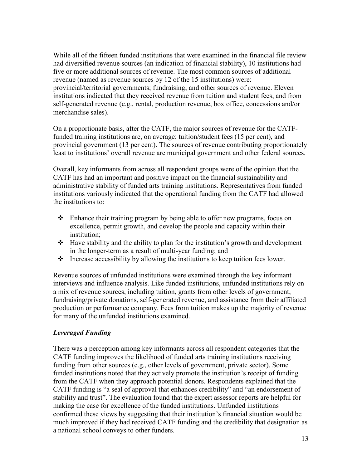While all of the fifteen funded institutions that were examined in the financial file review had diversified revenue sources (an indication of financial stability), 10 institutions had five or more additional sources of revenue. The most common sources of additional revenue (named as revenue sources by 12 of the 15 institutions) were: provincial/territorial governments; fundraising; and other sources of revenue. Eleven institutions indicated that they received revenue from tuition and student fees, and from self-generated revenue (e.g., rental, production revenue, box office, concessions and/or merchandise sales).

On a proportionate basis, after the CATF, the major sources of revenue for the CATFfunded training institutions are, on average: tuition/student fees (15 per cent), and provincial government (13 per cent). The sources of revenue contributing proportionately least to institutions' overall revenue are municipal government and other federal sources.

Overall, key informants from across all respondent groups were of the opinion that the CATF has had an important and positive impact on the financial sustainability and administrative stability of funded arts training institutions. Representatives from funded institutions variously indicated that the operational funding from the CATF had allowed the institutions to:

- $\triangle$  Enhance their training program by being able to offer new programs, focus on excellence, permit growth, and develop the people and capacity within their institution;
- $\triangleleft$  Have stability and the ability to plan for the institution's growth and development in the longer-term as a result of multi-year funding; and
- $\cdot \cdot$  Increase accessibility by allowing the institutions to keep tuition fees lower.

Revenue sources of unfunded institutions were examined through the key informant interviews and influence analysis. Like funded institutions, unfunded institutions rely on a mix of revenue sources, including tuition, grants from other levels of government, fundraising/private donations, self-generated revenue, and assistance from their affiliated production or performance company. Fees from tuition makes up the majority of revenue for many of the unfunded institutions examined.

#### *Leveraged Funding*

There was a perception among key informants across all respondent categories that the CATF funding improves the likelihood of funded arts training institutions receiving funding from other sources (e.g., other levels of government, private sector). Some funded institutions noted that they actively promote the institution's receipt of funding from the CATF when they approach potential donors. Respondents explained that the CATF funding is "a seal of approval that enhances credibility" and "an endorsement of stability and trust". The evaluation found that the expert assessor reports are helpful for making the case for excellence of the funded institutions. Unfunded institutions confirmed these views by suggesting that their institution's financial situation would be much improved if they had received CATF funding and the credibility that designation as a national school conveys to other funders.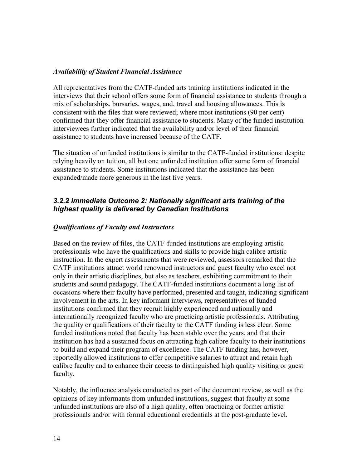#### *Availability of Student Financial Assistance*

All representatives from the CATF-funded arts training institutions indicated in the interviews that their school offers some form of financial assistance to students through a mix of scholarships, bursaries, wages, and, travel and housing allowances. This is consistent with the files that were reviewed; where most institutions (90 per cent) confirmed that they offer financial assistance to students. Many of the funded institution interviewees further indicated that the availability and/or level of their financial assistance to students have increased because of the CATF.

The situation of unfunded institutions is similar to the CATF-funded institutions: despite relying heavily on tuition, all but one unfunded institution offer some form of financial assistance to students. Some institutions indicated that the assistance has been expanded/made more generous in the last five years.

#### <span id="page-24-0"></span>*3.2.2 Immediate Outcome 2: Nationally significant arts training of the highest quality is delivered by Canadian Institutions*

#### *Qualifications of Faculty and Instructors*

Based on the review of files, the CATF-funded institutions are employing artistic professionals who have the qualifications and skills to provide high calibre artistic instruction. In the expert assessments that were reviewed, assessors remarked that the CATF institutions attract world renowned instructors and guest faculty who excel not only in their artistic disciplines, but also as teachers, exhibiting commitment to their students and sound pedagogy. The CATF-funded institutions document a long list of occasions where their faculty have performed, presented and taught, indicating significant involvement in the arts. In key informant interviews, representatives of funded institutions confirmed that they recruit highly experienced and nationally and internationally recognized faculty who are practicing artistic professionals. Attributing the quality or qualifications of their faculty to the CATF funding is less clear. Some funded institutions noted that faculty has been stable over the years, and that their institution has had a sustained focus on attracting high calibre faculty to their institutions to build and expand their program of excellence. The CATF funding has, however, reportedly allowed institutions to offer competitive salaries to attract and retain high calibre faculty and to enhance their access to distinguished high quality visiting or guest faculty.

Notably, the influence analysis conducted as part of the document review, as well as the opinions of key informants from unfunded institutions, suggest that faculty at some unfunded institutions are also of a high quality, often practicing or former artistic professionals and/or with formal educational credentials at the post-graduate level.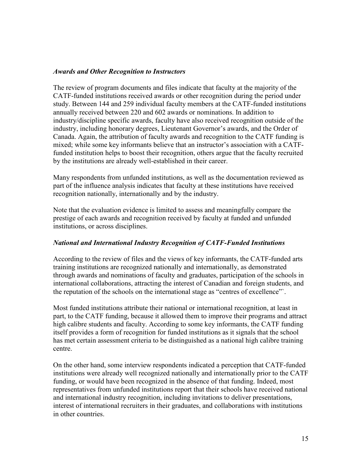#### *Awards and Other Recognition to Instructors*

The review of program documents and files indicate that faculty at the majority of the CATF-funded institutions received awards or other recognition during the period under study. Between 144 and 259 individual faculty members at the CATF-funded institutions annually received between 220 and 602 awards or nominations. In addition to industry/discipline specific awards, faculty have also received recognition outside of the industry, including honorary degrees, Lieutenant Governor's awards, and the Order of Canada. Again, the attribution of faculty awards and recognition to the CATF funding is mixed; while some key informants believe that an instructor's association with a CATFfunded institution helps to boost their recognition, others argue that the faculty recruited by the institutions are already well-established in their career.

Many respondents from unfunded institutions, as well as the documentation reviewed as part of the influence analysis indicates that faculty at these institutions have received recognition nationally, internationally and by the industry.

Note that the evaluation evidence is limited to assess and meaningfully compare the prestige of each awards and recognition received by faculty at funded and unfunded institutions, or across disciplines.

#### *National and International Industry Recognition of CATF-Funded Institutions*

According to the review of files and the views of key informants, the CATF-funded arts training institutions are recognized nationally and internationally, as demonstrated through awards and nominations of faculty and graduates, participation of the schools in international collaborations, attracting the interest of Canadian and foreign students, and the reputation of the schools on the international stage as "centres of excellence"`.

Most funded institutions attribute their national or international recognition, at least in part, to the CATF funding, because it allowed them to improve their programs and attract high calibre students and faculty. According to some key informants, the CATF funding itself provides a form of recognition for funded institutions as it signals that the school has met certain assessment criteria to be distinguished as a national high calibre training centre.

On the other hand, some interview respondents indicated a perception that CATF-funded institutions were already well recognized nationally and internationally prior to the CATF funding, or would have been recognized in the absence of that funding. Indeed, most representatives from unfunded institutions report that their schools have received national and international industry recognition, including invitations to deliver presentations, interest of international recruiters in their graduates, and collaborations with institutions in other countries.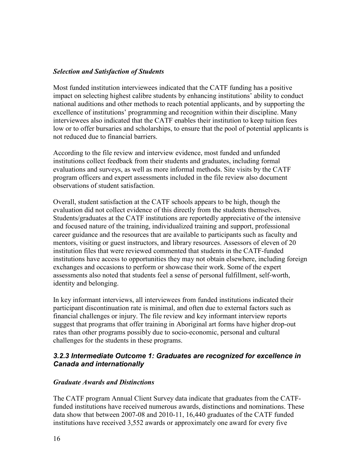#### *Selection and Satisfaction of Students*

Most funded institution interviewees indicated that the CATF funding has a positive impact on selecting highest calibre students by enhancing institutions' ability to conduct national auditions and other methods to reach potential applicants, and by supporting the excellence of institutions' programming and recognition within their discipline. Many interviewees also indicated that the CATF enables their institution to keep tuition fees low or to offer bursaries and scholarships, to ensure that the pool of potential applicants is not reduced due to financial barriers.

According to the file review and interview evidence, most funded and unfunded institutions collect feedback from their students and graduates, including formal evaluations and surveys, as well as more informal methods. Site visits by the CATF program officers and expert assessments included in the file review also document observations of student satisfaction.

Overall, student satisfaction at the CATF schools appears to be high, though the evaluation did not collect evidence of this directly from the students themselves. Students/graduates at the CATF institutions are reportedly appreciative of the intensive and focused nature of the training, individualized training and support, professional career guidance and the resources that are available to participants such as faculty and mentors, visiting or guest instructors, and library resources. Assessors of eleven of 20 institution files that were reviewed commented that students in the CATF-funded institutions have access to opportunities they may not obtain elsewhere, including foreign exchanges and occasions to perform or showcase their work. Some of the expert assessments also noted that students feel a sense of personal fulfillment, self-worth, identity and belonging.

In key informant interviews, all interviewees from funded institutions indicated their participant discontinuation rate is minimal, and often due to external factors such as financial challenges or injury. The file review and key informant interview reports suggest that programs that offer training in Aboriginal art forms have higher drop-out rates than other programs possibly due to socio-economic, personal and cultural challenges for the students in these programs.

#### <span id="page-26-0"></span>*3.2.3 Intermediate Outcome 1: Graduates are recognized for excellence in Canada and internationally*

#### *Graduate Awards and Distinctions*

The CATF program Annual Client Survey data indicate that graduates from the CATFfunded institutions have received numerous awards, distinctions and nominations. These data show that between 2007-08 and 2010-11, 16,440 graduates of the CATF funded institutions have received 3,552 awards or approximately one award for every five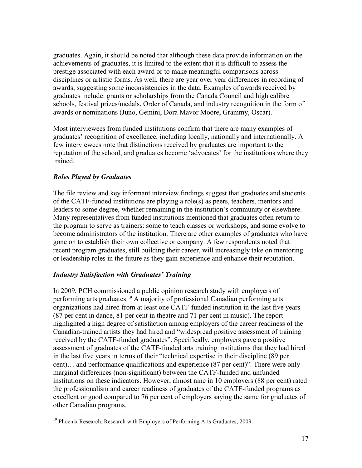graduates. Again, it should be noted that although these data provide information on the achievements of graduates, it is limited to the extent that it is difficult to assess the prestige associated with each award or to make meaningful comparisons across disciplines or artistic forms. As well, there are year over year differences in recording of awards, suggesting some inconsistencies in the data. Examples of awards received by graduates include: grants or scholarships from the Canada Council and high calibre schools, festival prizes/medals, Order of Canada, and industry recognition in the form of awards or nominations (Juno, Gemini, Dora Mavor Moore, Grammy, Oscar).

Most interviewees from funded institutions confirm that there are many examples of graduates' recognition of excellence, including locally, nationally and internationally. A few interviewees note that distinctions received by graduates are important to the reputation of the school, and graduates become 'advocates' for the institutions where they trained.

#### *Roles Played by Graduates*

 $\overline{a}$ 

The file review and key informant interview findings suggest that graduates and students of the CATF-funded institutions are playing a role(s) as peers, teachers, mentors and leaders to some degree, whether remaining in the institution's community or elsewhere. Many representatives from funded institutions mentioned that graduates often return to the program to serve as trainers: some to teach classes or workshops, and some evolve to become administrators of the institution. There are other examples of graduates who have gone on to establish their own collective or company. A few respondents noted that recent program graduates, still building their career, will increasingly take on mentoring or leadership roles in the future as they gain experience and enhance their reputation.

#### *Industry Satisfaction with Graduates' Training*

In 2009, PCH commissioned a public opinion research study with employers of performing arts graduates.<sup>[19](#page-27-0)</sup> A majority of professional Canadian performing arts organizations had hired from at least one CATF-funded institution in the last five years (87 per cent in dance, 81 per cent in theatre and 71 per cent in music). The report highlighted a high degree of satisfaction among employers of the career readiness of the Canadian-trained artists they had hired and "widespread positive assessment of training received by the CATF-funded graduates". Specifically, employers gave a positive assessment of graduates of the CATF-funded arts training institutions that they had hired in the last five years in terms of their "technical expertise in their discipline (89 per cent)… and performance qualifications and experience (87 per cent)". There were only marginal differences (non-significant) between the CATF-funded and unfunded institutions on these indicators. However, almost nine in 10 employers (88 per cent) rated the professionalism and career readiness of graduates of the CATF-funded programs as excellent or good compared to 76 per cent of employers saying the same for graduates of other Canadian programs.

<span id="page-27-0"></span><sup>&</sup>lt;sup>19</sup> Phoenix Research, Research with Employers of Performing Arts Graduates, 2009.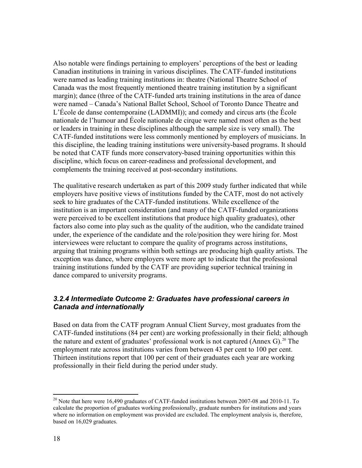Also notable were findings pertaining to employers' perceptions of the best or leading Canadian institutions in training in various disciplines. The CATF-funded institutions were named as leading training institutions in: theatre (National Theatre School of Canada was the most frequently mentioned theatre training institution by a significant margin); dance (three of the CATF-funded arts training institutions in the area of dance were named – Canada's National Ballet School, School of Toronto Dance Theatre and L'École de danse contemporaine (LADMMI)); and comedy and circus arts (the École nationale de l'humour and École nationale de cirque were named most often as the best or leaders in training in these disciplines although the sample size is very small). The CATF-funded institutions were less commonly mentioned by employers of musicians. In this discipline, the leading training institutions were university-based programs. It should be noted that CATF funds more conservatory-based training opportunities within this discipline, which focus on career-readiness and professional development, and complements the training received at post-secondary institutions.

The qualitative research undertaken as part of this 2009 study further indicated that while employers have positive views of institutions funded by the CATF, most do not actively seek to hire graduates of the CATF-funded institutions. While excellence of the institution is an important consideration (and many of the CATF-funded organizations were perceived to be excellent institutions that produce high quality graduates), other factors also come into play such as the quality of the audition, who the candidate trained under, the experience of the candidate and the role/position they were hiring for. Most interviewees were reluctant to compare the quality of programs across institutions, arguing that training programs within both settings are producing high quality artists. The exception was dance, where employers were more apt to indicate that the professional training institutions funded by the CATF are providing superior technical training in dance compared to university programs.

#### <span id="page-28-0"></span>*3.2.4 Intermediate Outcome 2: Graduates have professional careers in Canada and internationally*

Based on data from the CATF program Annual Client Survey, most graduates from the CATF-funded institutions (84 per cent) are working professionally in their field; although the nature and extent of graduates' professional work is not captured (Annex G).<sup>[20](#page-28-1)</sup> The employment rate across institutions varies from between 43 per cent to 100 per cent. Thirteen institutions report that 100 per cent of their graduates each year are working professionally in their field during the period under study.

<span id="page-28-1"></span><sup>&</sup>lt;sup>[20](#page-29-1)</sup> Note that here were 16,490 graduates of CATF-funded institutions between 2007-08 and 2010-11. To calculate the proportion of graduates working professionally, graduate numbers for institutions and years where no information on employment was provided are excluded. The employment analysis is, therefore, based on 16,029 graduates.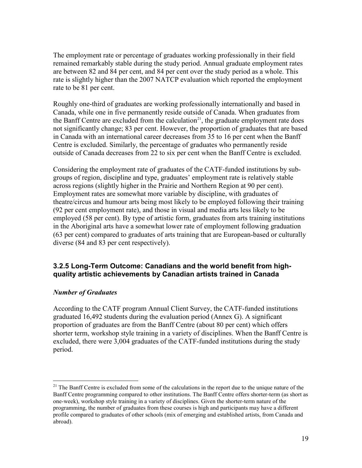<span id="page-29-1"></span>The employment rate or percentage of graduates working professionally in their field remained remarkably stable during the study period. Annual graduate employment rates are between 82 and 84 per cent, and 84 per cent over the study period as a whole. This rate is slightly higher than the 2007 NATCP evaluation which reported the employment rate to be 81 per cent.

Roughly one-third of graduates are working professionally internationally and based in Canada, while one in five permanently reside outside of Canada. When graduates from the Banff Centre are excluded from the calculation<sup>21</sup>, the graduate employment rate does not significantly change; 83 per cent. However, the proportion of graduates that are based in Canada with an international career decreases from 35 to 16 per cent when the Banff Centre is excluded. Similarly, the percentage of graduates who permanently reside outside of Canada decreases from 22 to six per cent when the Banff Centre is excluded.

Considering the employment rate of graduates of the CATF-funded institutions by subgroups of region, discipline and type, graduates' employment rate is relatively stable across regions (slightly higher in the Prairie and Northern Region at 90 per cent). Employment rates are somewhat more variable by discipline, with graduates of theatre/circus and humour arts being most likely to be employed following their training (92 per cent employment rate), and those in visual and media arts less likely to be employed (58 per cent). By type of artistic form, graduates from arts training institutions in the Aboriginal arts have a somewhat lower rate of employment following graduation (63 per cent) compared to graduates of arts training that are European-based or culturally diverse (84 and 83 per cent respectively).

#### <span id="page-29-0"></span>**3.2.5 Long-Term Outcome: Canadians and the world benefit from highquality artistic achievements by Canadian artists trained in Canada**

#### *Number of Graduates*

According to the CATF program Annual Client Survey, the CATF-funded institutions graduated 16,492 students during the evaluation period (Annex G). A significant proportion of graduates are from the Banff Centre (about 80 per cent) which offers shorter term, workshop style training in a variety of disciplines. When the Banff Centre is excluded, there were 3,004 graduates of the CATF-funded institutions during the study period.

<span id="page-29-2"></span><sup>&</sup>lt;sup>21</sup> The Banff Centre is excluded from some of the calculations in the report due to the unique nature of the Banff Centre programming compared to other institutions. The Banff Centre offers shorter-term (as short as one-week), workshop style training in a variety of disciplines. Given the shorter-term nature of the programming, the number of graduates from these courses is high and participants may have a different profile compared to graduates of other schools (mix of emerging and established artists, from Canada and abroad).  $\overline{a}$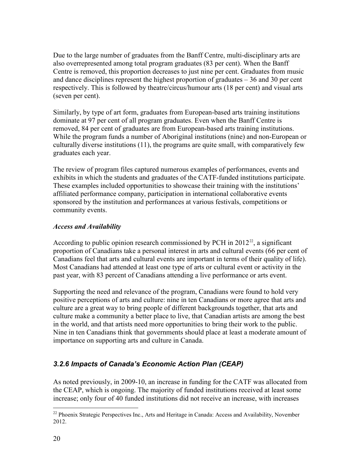Due to the large number of graduates from the Banff Centre, multi-disciplinary arts are also overrepresented among total program graduates (83 per cent). When the Banff Centre is removed, this proportion decreases to just nine per cent. Graduates from music and dance disciplines represent the highest proportion of graduates – 36 and 30 per cent respectively. This is followed by theatre/circus/humour arts (18 per cent) and visual arts (seven per cent).

Similarly, by type of art form, graduates from European-based arts training institutions dominate at 97 per cent of all program graduates. Even when the Banff Centre is removed, 84 per cent of graduates are from European-based arts training institutions. While the program funds a number of Aboriginal institutions (nine) and non-European or culturally diverse institutions (11), the programs are quite small, with comparatively few graduates each year.

The review of program files captured numerous examples of performances, events and exhibits in which the students and graduates of the CATF-funded institutions participate. These examples included opportunities to showcase their training with the institutions' affiliated performance company, participation in international collaborative events sponsored by the institution and performances at various festivals, competitions or community events.

#### *Access and Availability*

According to public opinion research commissioned by PCH in  $2012^{22}$ , a significant proportion of Canadians take a personal interest in arts and cultural events (66 per cent of Canadians feel that arts and cultural events are important in terms of their quality of life). Most Canadians had attended at least one type of arts or cultural event or activity in the past year, with 83 percent of Canadians attending a live performance or arts event.

Supporting the need and relevance of the program, Canadians were found to hold very positive perceptions of arts and culture: nine in ten Canadians or more agree that arts and culture are a great way to bring people of different backgrounds together, that arts and culture make a community a better place to live, that Canadian artists are among the best in the world, and that artists need more opportunities to bring their work to the public. Nine in ten Canadians think that governments should place at least a moderate amount of importance on supporting arts and culture in Canada.

### <span id="page-30-0"></span>*3.2.6 Impacts of Canada's Economic Action Plan (CEAP)*

As noted previously, in 2009-10, an increase in funding for the CATF was allocated from the CEAP, which is ongoing. The majority of funded institutions received at least some increase; only four of 40 funded institutions did not receive an increase, with increases

<span id="page-30-1"></span> $22$  Phoenix Strategic Perspectives Inc., Arts and Heritage in Canada: Access and Availability, November 2012.  $\overline{a}$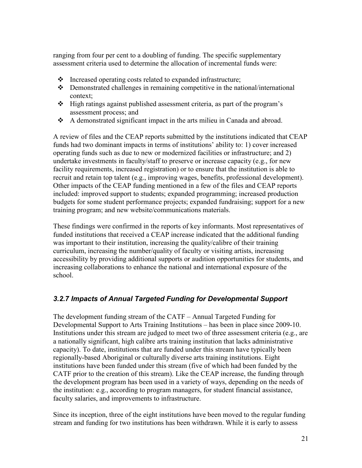ranging from four per cent to a doubling of funding. The specific supplementary assessment criteria used to determine the allocation of incremental funds were:

- $\cdot \cdot$  Increased operating costs related to expanded infrastructure;
- Demonstrated challenges in remaining competitive in the national/international context;
- High ratings against published assessment criteria, as part of the program's assessment process; and
- A demonstrated significant impact in the arts milieu in Canada and abroad.

A review of files and the CEAP reports submitted by the institutions indicated that CEAP funds had two dominant impacts in terms of institutions' ability to: 1) cover increased operating funds such as due to new or modernized facilities or infrastructure; and 2) undertake investments in faculty/staff to preserve or increase capacity (e.g., for new facility requirements, increased registration) or to ensure that the institution is able to recruit and retain top talent (e.g., improving wages, benefits, professional development). Other impacts of the CEAP funding mentioned in a few of the files and CEAP reports included: improved support to students; expanded programming; increased production budgets for some student performance projects; expanded fundraising; support for a new training program; and new website/communications materials.

These findings were confirmed in the reports of key informants. Most representatives of funded institutions that received a CEAP increase indicated that the additional funding was important to their institution, increasing the quality/calibre of their training curriculum, increasing the number/quality of faculty or visiting artists, increasing accessibility by providing additional supports or audition opportunities for students, and increasing collaborations to enhance the national and international exposure of the school.

### <span id="page-31-0"></span>*3.2.7 Impacts of Annual Targeted Funding for Developmental Support*

The development funding stream of the CATF – Annual Targeted Funding for Developmental Support to Arts Training Institutions – has been in place since 2009-10. Institutions under this stream are judged to meet two of three assessment criteria (e.g., are a nationally significant, high calibre arts training institution that lacks administrative capacity). To date, institutions that are funded under this stream have typically been regionally-based Aboriginal or culturally diverse arts training institutions. Eight institutions have been funded under this stream (five of which had been funded by the CATF prior to the creation of this stream). Like the CEAP increase, the funding through the development program has been used in a variety of ways, depending on the needs of the institution: e.g., according to program managers, for student financial assistance, faculty salaries, and improvements to infrastructure.

Since its inception, three of the eight institutions have been moved to the regular funding stream and funding for two institutions has been withdrawn. While it is early to assess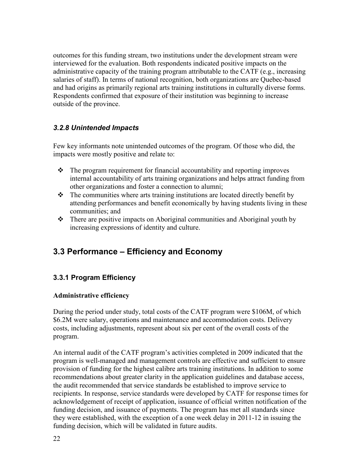outcomes for this funding stream, two institutions under the development stream were interviewed for the evaluation. Both respondents indicated positive impacts on the administrative capacity of the training program attributable to the CATF (e.g., increasing salaries of staff). In terms of national recognition, both organizations are Quebec-based and had origins as primarily regional arts training institutions in culturally diverse forms. Respondents confirmed that exposure of their institution was beginning to increase outside of the province.

### <span id="page-32-0"></span>*3.2.8 Unintended Impacts*

Few key informants note unintended outcomes of the program. Of those who did, the impacts were mostly positive and relate to:

- $\bullet$  The program requirement for financial accountability and reporting improves internal accountability of arts training organizations and helps attract funding from other organizations and foster a connection to alumni;
- $\triangle$  The communities where arts training institutions are located directly benefit by attending performances and benefit economically by having students living in these communities; and
- There are positive impacts on Aboriginal communities and Aboriginal youth by increasing expressions of identity and culture.

## <span id="page-32-1"></span>**3.3 Performance – Efficiency and Economy**

#### <span id="page-32-2"></span>**3.3.1 Program Efficiency**

#### **Administrative efficiency**

During the period under study, total costs of the CATF program were \$106M, of which \$6.2M were salary, operations and maintenance and accommodation costs. Delivery costs, including adjustments, represent about six per cent of the overall costs of the program.

An internal audit of the CATF program's activities completed in 2009 indicated that the program is well-managed and management controls are effective and sufficient to ensure provision of funding for the highest calibre arts training institutions. In addition to some recommendations about greater clarity in the application guidelines and database access, the audit recommended that service standards be established to improve service to recipients. In response, service standards were developed by CATF for response times for acknowledgement of receipt of application, issuance of official written notification of the funding decision, and issuance of payments. The program has met all standards since they were established, with the exception of a one week delay in 2011-12 in issuing the funding decision, which will be validated in future audits.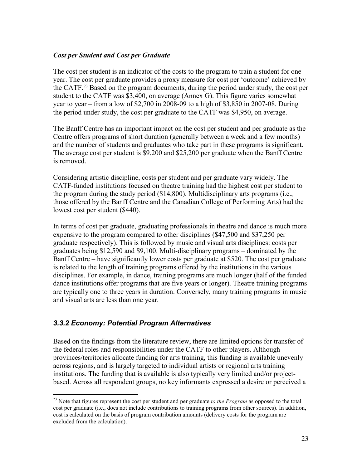#### *Cost per Student and Cost per Graduate*

The cost per student is an indicator of the costs to the program to train a student for one year. The cost per graduate provides a proxy measure for cost per 'outcome' achieved by the CATF. [23](#page-33-1) Based on the program documents, during the period under study, the cost per student to the CATF was \$3,400, on average (Annex G). This figure varies somewhat year to year – from a low of \$2,700 in 2008-09 to a high of \$3,850 in 2007-08. During the period under study, the cost per graduate to the CATF was \$4,950, on average.

The Banff Centre has an important impact on the cost per student and per graduate as the Centre offers programs of short duration (generally between a week and a few months) and the number of students and graduates who take part in these programs is significant. The average cost per student is \$9,200 and \$25,200 per graduate when the Banff Centre is removed.

Considering artistic discipline, costs per student and per graduate vary widely. The CATF-funded institutions focused on theatre training had the highest cost per student to the program during the study period (\$14,800). Multidisciplinary arts programs (i.e., those offered by the Banff Centre and the Canadian College of Performing Arts) had the lowest cost per student (\$440).

In terms of cost per graduate, graduating professionals in theatre and dance is much more expensive to the program compared to other disciplines (\$47,500 and \$37,250 per graduate respectively). This is followed by music and visual arts disciplines: costs per graduates being \$12,590 and \$9,100. Multi-disciplinary programs – dominated by the Banff Centre – have significantly lower costs per graduate at \$520. The cost per graduate is related to the length of training programs offered by the institutions in the various disciplines. For example, in dance, training programs are much longer (half of the funded dance institutions offer programs that are five years or longer). Theatre training programs are typically one to three years in duration. Conversely, many training programs in music and visual arts are less than one year.

#### <span id="page-33-0"></span>*3.3.2 Economy: Potential Program Alternatives*

 $\overline{a}$ 

Based on the findings from the literature review, there are limited options for transfer of the federal roles and responsibilities under the CATF to other players. Although provinces/territories allocate funding for arts training, this funding is available unevenly across regions, and is largely targeted to individual artists or regional arts training institutions. The funding that is available is also typically very limited and/or projectbased. Across all respondent groups, no key informants expressed a desire or perceived a

<span id="page-33-1"></span><sup>&</sup>lt;sup>23</sup> Note that figures represent the cost per student and per graduate *to the Program* as opposed to the total cost per graduate (i.e., does not include contributions to training programs from other sources). In addition, cost is calculated on the basis of program contribution amounts (delivery costs for the program are excluded from the calculation).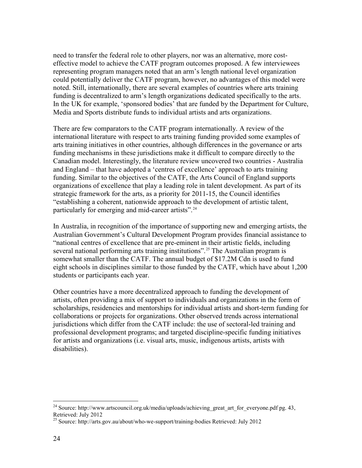need to transfer the federal role to other players, nor was an alternative, more costeffective model to achieve the CATF program outcomes proposed. A few interviewees representing program managers noted that an arm's length national level organization could potentially deliver the CATF program, however, no advantages of this model were noted. Still, internationally, there are several examples of countries where arts training funding is decentralized to arm's length organizations dedicated specifically to the arts. In the UK for example, 'sponsored bodies' that are funded by the Department for Culture, Media and Sports distribute funds to individual artists and arts organizations.

There are few comparators to the CATF program internationally. A review of the international literature with respect to arts training funding provided some examples of arts training initiatives in other countries, although differences in the governance or arts funding mechanisms in these jurisdictions make it difficult to compare directly to the Canadian model. Interestingly, the literature review uncovered two countries - Australia and England – that have adopted a 'centres of excellence' approach to arts training funding. Similar to the objectives of the CATF, the Arts Council of England supports organizations of excellence that play a leading role in talent development. As part of its strategic framework for the arts, as a priority for 2011-15, the Council identifies "establishing a coherent, nationwide approach to the development of artistic talent, particularly for emerging and mid-career artists".<sup>[24](#page-34-0)</sup>

In Australia, in recognition of the importance of supporting new and emerging artists, the Australian Government's Cultural Development Program provides financial assistance to "national centres of excellence that are pre-eminent in their artistic fields, including several national performing arts training institutions".<sup>25</sup> The Australian program is somewhat smaller than the CATF. The annual budget of \$17.2M Cdn is used to fund eight schools in disciplines similar to those funded by the CATF, which have about 1,200 students or participants each year.

Other countries have a more decentralized approach to funding the development of artists, often providing a mix of support to individuals and organizations in the form of scholarships, residencies and mentorships for individual artists and short-term funding for collaborations or projects for organizations. Other observed trends across international jurisdictions which differ from the CATF include: the use of sectoral-led training and professional development programs; and targeted discipline-specific funding initiatives for artists and organizations (i.e. visual arts, music, indigenous artists, artists with disabilities).

<span id="page-34-0"></span><sup>&</sup>lt;sup>24</sup> Source: http://www.artscouncil.org.uk/media/uploads/achieving\_great\_art\_for\_everyone.pdf pg. 43, Retrieved: July 2012

<span id="page-34-1"></span><sup>25</sup> Source: http://arts.gov.au/about/who-we-support/training-bodies Retrieved: July 2012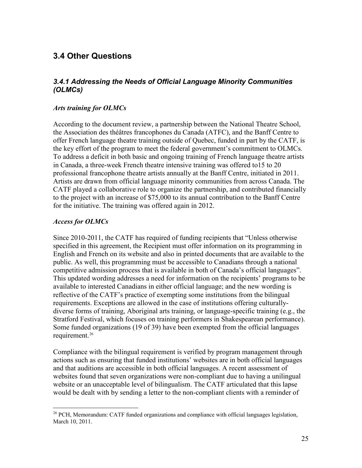### <span id="page-35-0"></span>**3.4 Other Questions**

#### <span id="page-35-1"></span>*3.4.1 Addressing the Needs of Official Language Minority Communities (OLMCs)*

#### *Arts training for OLMCs*

According to the document review, a partnership between the National Theatre School, the Association des théâtres francophones du Canada (ATFC), and the Banff Centre to offer French language theatre training outside of Quebec, funded in part by the CATF, is the key effort of the program to meet the federal government's commitment to OLMCs. To address a deficit in both basic and ongoing training of French language theatre artists in Canada, a three-week French theatre intensive training was offered to15 to 20 professional francophone theatre artists annually at the Banff Centre, initiated in 2011. Artists are drawn from official language minority communities from across Canada. The CATF played a collaborative role to organize the partnership, and contributed financially to the project with an increase of \$75,000 to its annual contribution to the Banff Centre for the initiative. The training was offered again in 2012.

#### *Access for OLMCs*

 $\overline{a}$ 

Since 2010-2011, the CATF has required of funding recipients that "Unless otherwise specified in this agreement, the Recipient must offer information on its programming in English and French on its website and also in printed documents that are available to the public. As well, this programming must be accessible to Canadians through a national competitive admission process that is available in both of Canada's official languages". This updated wording addresses a need for information on the recipients' programs to be available to interested Canadians in either official language; and the new wording is reflective of the CATF's practice of exempting some institutions from the bilingual requirements. Exceptions are allowed in the case of institutions offering culturallydiverse forms of training, Aboriginal arts training, or language-specific training (e.g., the Stratford Festival, which focuses on training performers in Shakespearean performance). Some funded organizations (19 of 39) have been exempted from the official languages requirement.<sup>[26](#page-35-2)</sup>

Compliance with the bilingual requirement is verified by program management through actions such as ensuring that funded institutions' websites are in both official languages and that auditions are accessible in both official languages. A recent assessment of websites found that seven organizations were non-compliant due to having a unilingual website or an unacceptable level of bilingualism. The CATF articulated that this lapse would be dealt with by sending a letter to the non-compliant clients with a reminder of

<span id="page-35-2"></span> $26$  PCH, Memorandum: CATF funded organizations and compliance with official languages legislation, March 10, 2011.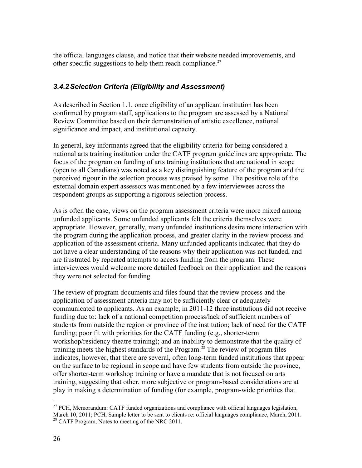<span id="page-36-1"></span>the official languages clause, and notice that their website needed improvements, and other specific suggestions to help them reach compliance.<sup>[27](#page-36-2)</sup>

#### <span id="page-36-0"></span>*3.4.2Selection Criteria (Eligibility and Assessment)*

As described in Section 1.1, once eligibility of an applicant institution has been confirmed by program staff, applications to the program are assessed by a National Review Committee based on their demonstration of artistic excellence, national significance and impact, and institutional capacity.

In general, key informants agreed that the eligibility criteria for being considered a national arts training institution under the CATF program guidelines are appropriate. The focus of the program on funding of arts training institutions that are national in scope (open to all Canadians) was noted as a key distinguishing feature of the program and the perceived rigour in the selection process was praised by some. The positive role of the external domain expert assessors was mentioned by a few interviewees across the respondent groups as supporting a rigorous selection process.

As is often the case, views on the program assessment criteria were more mixed among unfunded applicants. Some unfunded applicants felt the criteria themselves were appropriate. However, generally, many unfunded institutions desire more interaction with the program during the application process, and greater clarity in the review process and application of the assessment criteria. Many unfunded applicants indicated that they do not have a clear understanding of the reasons why their application was not funded, and are frustrated by repeated attempts to access funding from the program. These interviewees would welcome more detailed feedback on their application and the reasons they were not selected for funding.

The review of program documents and files found that the review process and the application of assessment criteria may not be sufficiently clear or adequately communicated to applicants. As an example, in 2011-12 three institutions did not receive funding due to: lack of a national competition process/lack of sufficient numbers of students from outside the region or province of the institution; lack of need for the CATF funding; poor fit with priorities for the CATF funding (e.g., shorter-term workshop/residency theatre training); and an inability to demonstrate that the quality of training meets the highest standards of the Program.<sup>[28](#page-36-3)</sup> The review of program files indicates, however, that there are several, often long-term funded institutions that appear on the surface to be regional in scope and have few students from outside the province, offer shorter-term workshop training or have a mandate that is not focused on arts training, suggesting that other, more subjective or program-based considerations are at play in making a determination of funding (for example, program-wide priorities that

<span id="page-36-3"></span><span id="page-36-2"></span><sup>&</sup>lt;sup>27</sup> PCH, Memorandum: CATF funded organizations and compliance with official languages legislation, March 10, 2011; PCH, Sample letter to be sent to clients re: official languages compliance, March, 2011. <sup>[28](#page-37-1)</sup> CATF Program, Notes to meeting of the NRC 2011.  $\overline{a}$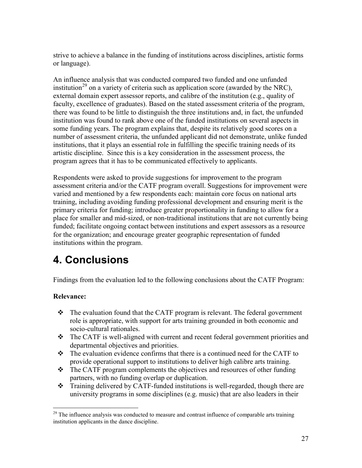<span id="page-37-1"></span>strive to achieve a balance in the funding of institutions across disciplines, artistic forms or language).

An influence analysis that was conducted compared two funded and one unfunded institution<sup>[29](#page-37-2)</sup> on a variety of criteria such as application score (awarded by the NRC), external domain expert assessor reports, and calibre of the institution (e.g., quality of faculty, excellence of graduates). Based on the stated assessment criteria of the program, there was found to be little to distinguish the three institutions and, in fact, the unfunded institution was found to rank above one of the funded institutions on several aspects in some funding years. The program explains that, despite its relatively good scores on a number of assessment criteria, the unfunded applicant did not demonstrate, unlike funded institutions, that it plays an essential role in fulfilling the specific training needs of its artistic discipline. Since this is a key consideration in the assessment process, the program agrees that it has to be communicated effectively to applicants.

Respondents were asked to provide suggestions for improvement to the program assessment criteria and/or the CATF program overall. Suggestions for improvement were varied and mentioned by a few respondents each: maintain core focus on national arts training, including avoiding funding professional development and ensuring merit is the primary criteria for funding; introduce greater proportionality in funding to allow for a place for smaller and mid-sized, or non-traditional institutions that are not currently being funded; facilitate ongoing contact between institutions and expert assessors as a resource for the organization; and encourage greater geographic representation of funded institutions within the program.

# <span id="page-37-0"></span>**4. Conclusions**

Findings from the evaluation led to the following conclusions about the CATF Program:

#### **Relevance:**

- The evaluation found that the CATF program is relevant. The federal government role is appropriate, with support for arts training grounded in both economic and socio-cultural rationales.
- The CATF is well-aligned with current and recent federal government priorities and departmental objectives and priorities.
- $\cdot \cdot$  The evaluation evidence confirms that there is a continued need for the CATF to provide operational support to institutions to deliver high calibre arts training.
- $\div$  The CATF program complements the objectives and resources of other funding partners, with no funding overlap or duplication.
- Training delivered by CATF-funded institutions is well-regarded, though there are university programs in some disciplines (e.g. music) that are also leaders in their

<span id="page-37-2"></span> $2<sup>29</sup>$  The influence analysis was conducted to measure and contrast influence of comparable arts training institution applicants in the dance discipline.  $\overline{a}$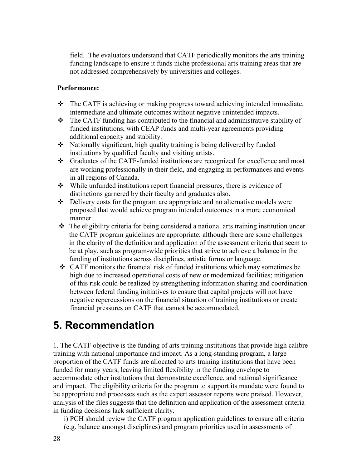field. The evaluators understand that CATF periodically monitors the arts training funding landscape to ensure it funds niche professional arts training areas that are not addressed comprehensively by universities and colleges.

#### **Performance:**

- The CATF is achieving or making progress toward achieving intended immediate, intermediate and ultimate outcomes without negative unintended impacts.
- $\triangle$  The CATF funding has contributed to the financial and administrative stability of funded institutions, with CEAP funds and multi-year agreements providing additional capacity and stability.
- Nationally significant, high quality training is being delivered by funded institutions by qualified faculty and visiting artists.
- Graduates of the CATF-funded institutions are recognized for excellence and most are working professionally in their field, and engaging in performances and events in all regions of Canada.
- While unfunded institutions report financial pressures, there is evidence of distinctions garnered by their faculty and graduates also.
- $\triangle$  Delivery costs for the program are appropriate and no alternative models were proposed that would achieve program intended outcomes in a more economical manner.
- $\triangle$  The eligibility criteria for being considered a national arts training institution under the CATF program guidelines are appropriate; although there are some challenges in the clarity of the definition and application of the assessment criteria that seem to be at play, such as program-wide priorities that strive to achieve a balance in the funding of institutions across disciplines, artistic forms or language.
- CATF monitors the financial risk of funded institutions which may sometimes be high due to increased operational costs of new or modernized facilities; mitigation of this risk could be realized by strengthening information sharing and coordination between federal funding initiatives to ensure that capital projects will not have negative repercussions on the financial situation of training institutions or create financial pressures on CATF that cannot be accommodated.

# <span id="page-38-0"></span>**5. Recommendation**

1. The CATF objective is the funding of arts training institutions that provide high calibre training with national importance and impact. As a long-standing program, a large proportion of the CATF funds are allocated to arts training institutions that have been funded for many years, leaving limited flexibility in the funding envelope to accommodate other institutions that demonstrate excellence, and national significance and impact. The eligibility criteria for the program to support its mandate were found to be appropriate and processes such as the expert assessor reports were praised. However, analysis of the files suggests that the definition and application of the assessment criteria in funding decisions lack sufficient clarity.

i) PCH should review the CATF program application guidelines to ensure all criteria (e.g. balance amongst disciplines) and program priorities used in assessments of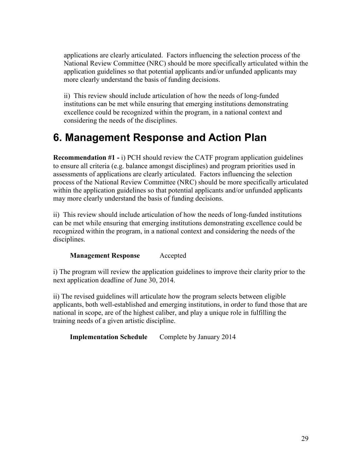applications are clearly articulated. Factors influencing the selection process of the National Review Committee (NRC) should be more specifically articulated within the application guidelines so that potential applicants and/or unfunded applicants may more clearly understand the basis of funding decisions.

ii) This review should include articulation of how the needs of long-funded institutions can be met while ensuring that emerging institutions demonstrating excellence could be recognized within the program, in a national context and considering the needs of the disciplines.

# <span id="page-39-0"></span>**6. Management Response and Action Plan**

**Recommendation #1 -** i) PCH should review the CATF program application guidelines to ensure all criteria (e.g. balance amongst disciplines) and program priorities used in assessments of applications are clearly articulated. Factors influencing the selection process of the National Review Committee (NRC) should be more specifically articulated within the application guidelines so that potential applicants and/or unfunded applicants may more clearly understand the basis of funding decisions.

ii) This review should include articulation of how the needs of long-funded institutions can be met while ensuring that emerging institutions demonstrating excellence could be recognized within the program, in a national context and considering the needs of the disciplines.

#### **Management Response** Accepted

i) The program will review the application guidelines to improve their clarity prior to the next application deadline of June 30, 2014.

ii) The revised guidelines will articulate how the program selects between eligible applicants, both well-established and emerging institutions, in order to fund those that are national in scope, are of the highest caliber, and play a unique role in fulfilling the training needs of a given artistic discipline.

**Implementation Schedule** Complete by January 2014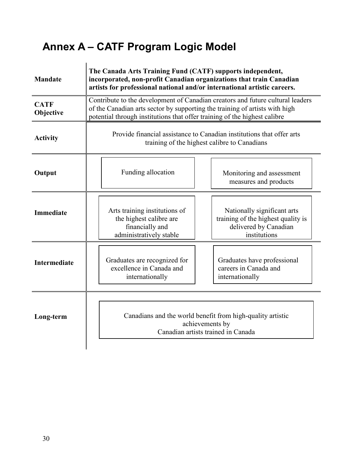# <span id="page-40-0"></span>**Annex A – CATF Program Logic Model**

| <b>Mandate</b>           | The Canada Arts Training Fund (CATF) supports independent,<br>incorporated, non-profit Canadian organizations that train Canadian<br>artists for professional national and/or international artistic careers.                              |                                                                                                                     |  |  |
|--------------------------|--------------------------------------------------------------------------------------------------------------------------------------------------------------------------------------------------------------------------------------------|---------------------------------------------------------------------------------------------------------------------|--|--|
| <b>CATF</b><br>Objective | Contribute to the development of Canadian creators and future cultural leaders<br>of the Canadian arts sector by supporting the training of artists with high<br>potential through institutions that offer training of the highest calibre |                                                                                                                     |  |  |
| <b>Activity</b>          | Provide financial assistance to Canadian institutions that offer arts<br>training of the highest calibre to Canadians                                                                                                                      |                                                                                                                     |  |  |
| Output                   | Funding allocation                                                                                                                                                                                                                         | Monitoring and assessment<br>measures and products                                                                  |  |  |
| <b>Immediate</b>         | Arts training institutions of<br>the highest calibre are<br>financially and<br>administratively stable                                                                                                                                     | Nationally significant arts<br>training of the highest quality is<br>delivered by Canadian<br>institutions          |  |  |
| <b>Intermediate</b>      | Graduates are recognized for<br>excellence in Canada and<br>internationally                                                                                                                                                                | Graduates have professional<br>careers in Canada and<br>internationally                                             |  |  |
| Long-term                |                                                                                                                                                                                                                                            | Canadians and the world benefit from high-quality artistic<br>achievements by<br>Canadian artists trained in Canada |  |  |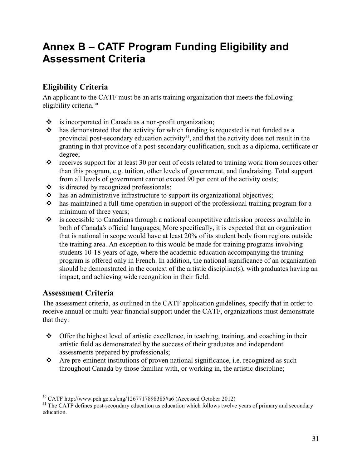# <span id="page-41-0"></span>**Annex B – CATF Program Funding Eligibility and Assessment Criteria**

## **Eligibility Criteria**

An applicant to the CATF must be an arts training organization that meets the following eligibility criteria. [30](#page-41-1)

- \* is incorporated in Canada as a non-profit organization;
- $\cdot$  has demonstrated that the activity for which funding is requested is not funded as a provincial post-secondary education activity $31$ , and that the activity does not result in the granting in that province of a post-secondary qualification, such as a diploma, certificate or degree;
- $\cdot \cdot$  receives support for at least 30 per cent of costs related to training work from sources other than this program, e.g. tuition, other levels of government, and fundraising. Total support from all levels of government cannot exceed 90 per cent of the activity costs;
- $\div$  is directed by recognized professionals;
- $\cdot \cdot$  has an administrative infrastructure to support its organizational objectives;
- has maintained a full-time operation in support of the professional training program for a minimum of three years;
- $\cdot$  is accessible to Canadians through a national competitive admission process available in both of Canada's official languages; More specifically, it is expected that an organization that is national in scope would have at least 20% of its student body from regions outside the training area. An exception to this would be made for training programs involving students 10-18 years of age, where the academic education accompanying the training program is offered only in French. In addition, the national significance of an organization should be demonstrated in the context of the artistic discipline(s), with graduates having an impact, and achieving wide recognition in their field.

### **Assessment Criteria**

The assessment criteria, as outlined in the CATF application guidelines, specify that in order to receive annual or multi-year financial support under the CATF, organizations must demonstrate that they:

- $\div$  Offer the highest level of artistic excellence, in teaching, training, and coaching in their artistic field as demonstrated by the success of their graduates and independent assessments prepared by professionals;
- Are pre-eminent institutions of proven national significance, i.e. recognized as such throughout Canada by those familiar with, or working in, the artistic discipline;

<sup>30</sup> CATF http://www.pch.gc.ca/eng/1267717898385#a6 (Accessed October 2012)  $\overline{a}$ 

<span id="page-41-2"></span><span id="page-41-1"></span><sup>&</sup>lt;sup>31</sup> The CATF defines post-secondary education as education which follows twelve years of primary and secondary education.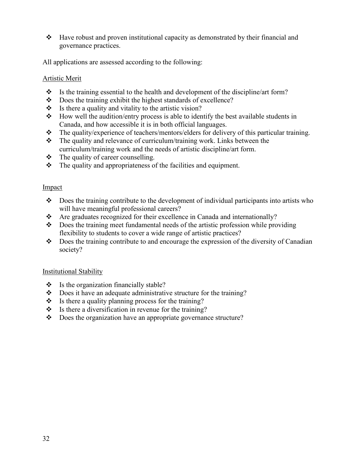$\div$  Have robust and proven institutional capacity as demonstrated by their financial and governance practices.

All applications are assessed according to the following:

#### Artistic Merit

- $\cdot \cdot$  Is the training essential to the health and development of the discipline/art form?
- $\bullet$  Does the training exhibit the highest standards of excellence?<br> $\bullet$  Is there a quality and vitality to the artistic vision?
- Is there a quality and vitality to the artistic vision?
- $\bullet$  How well the audition/entry process is able to identify the best available students in Canada, and how accessible it is in both official languages.
- The quality/experience of teachers/mentors/elders for delivery of this particular training.
- $\cdot \cdot$  The quality and relevance of curriculum/training work. Links between the curriculum/training work and the needs of artistic discipline/art form.
- $\div$  The quality of career counselling.
- $\cdot \cdot$  The quality and appropriateness of the facilities and equipment.

#### Impact

- $\bullet$  Does the training contribute to the development of individual participants into artists who will have meaningful professional careers?
- $\triangle$  Are graduates recognized for their excellence in Canada and internationally?
- $\bullet$  Does the training meet fundamental needs of the artistic profession while providing flexibility to students to cover a wide range of artistic practices?
- $\bullet$  Does the training contribute to and encourage the expression of the diversity of Canadian society?

#### Institutional Stability

- $\bullet$  Is the organization financially stable?
- Does it have an adequate administrative structure for the training?
- $\bullet$  Is there a quality planning process for the training?
- $\bullet$  Is there a diversification in revenue for the training?
- Does the organization have an appropriate governance structure?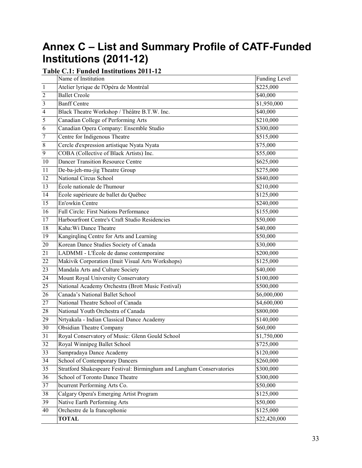# <span id="page-43-0"></span>**Annex C – List and Summary Profile of CATF-Funded Institutions (2011-12)**

### **Table C.1: Funded Institutions 2011-12**

|                         | Name of Institution                                                   | <b>Funding Level</b> |
|-------------------------|-----------------------------------------------------------------------|----------------------|
| $\overline{1}$          | Atelier lyrique de l'Opéra de Montréal                                | \$225,000            |
| $\sqrt{2}$              | <b>Ballet Creole</b>                                                  | \$40,000             |
| $\overline{\mathbf{3}}$ | <b>Banff Centre</b>                                                   | \$1,950,000          |
| $\overline{4}$          | Black Theatre Workshop / Théâtre B.T.W. Inc.                          | \$40,000             |
| 5                       | Canadian College of Performing Arts                                   | \$210,000            |
| 6                       | Canadian Opera Company: Ensemble Studio                               | \$300,000            |
| $\overline{7}$          | Centre for Indigenous Theatre                                         | \$515,000            |
| $\sqrt{8}$              | Cercle d'expression artistique Nyata Nyata                            | \$75,000             |
| $\boldsymbol{9}$        | COBA (Collective of Black Artists) Inc.                               | \$55,000             |
| 10                      | <b>Dancer Transition Resource Centre</b>                              | \$625,000            |
| 11                      | De-ba-jeh-mu-jig Theatre Group                                        | \$275,000            |
| 12                      | National Circus School                                                | \$840,000            |
| 13                      | École nationale de l'humour                                           | \$210,000            |
| 14                      | École supérieure de ballet du Québec                                  | \$125,000            |
| 15                      | En'owkin Centre                                                       | \$240,000            |
| $\overline{16}$         | <b>Full Circle: First Nations Performance</b>                         | \$155,000            |
| 17                      | Harbourfront Centre's Craft Studio Residencies                        | \$50,000             |
| 18                      | Kaha: Wi Dance Theatre                                                | \$40,000             |
| 19                      | Kangirqlinq Centre for Arts and Learning                              | \$50,000             |
| $20\,$                  | Korean Dance Studies Society of Canada                                | \$30,000             |
| $\overline{21}$         | LADMMI - L'École de danse contemporaine                               | \$200,000            |
| 22                      | Makivik Corporation (Inuit Visual Arts Workshops)                     | \$125,000            |
| 23                      | Mandala Arts and Culture Society                                      | \$40,000             |
| 24                      | Mount Royal University Conservatory                                   | \$100,000            |
| $\overline{25}$         | National Academy Orchestra (Brott Music Festival)                     | \$500,000            |
| 26                      | Canada's National Ballet School                                       | \$6,000,000          |
| 27                      | National Theatre School of Canada                                     | \$4,600,000          |
| 28                      | National Youth Orchestra of Canada                                    | \$800,000            |
| 29                      | Nrtyakala - Indian Classical Dance Academy                            | \$140,000            |
| $\overline{30}$         | <b>Obsidian Theatre Company</b>                                       | \$60,000             |
| 31                      | Royal Conservatory of Music: Glenn Gould School                       | \$1,750,000          |
| 32                      | Royal Winnipeg Ballet School                                          | \$725,000            |
| $\overline{33}$         | Sampradaya Dance Academy                                              | \$120,000            |
| $\overline{34}$         | School of Contemporary Dancers                                        | \$260,000            |
| 35                      | Stratford Shakespeare Festival: Birmingham and Langham Conservatories | \$300,000            |
| 36                      | School of Toronto Dance Theatre                                       | \$300,000            |
| 37                      | bcurrent Performing Arts Co.                                          | \$50,000             |
| $38\,$                  | Calgary Opera's Emerging Artist Program                               | \$125,000            |
| $\overline{39}$         | Native Earth Performing Arts                                          | \$50,000             |
| 40                      | Orchestre de la francophonie                                          | \$125,000            |
|                         | <b>TOTAL</b>                                                          | \$22,420,000         |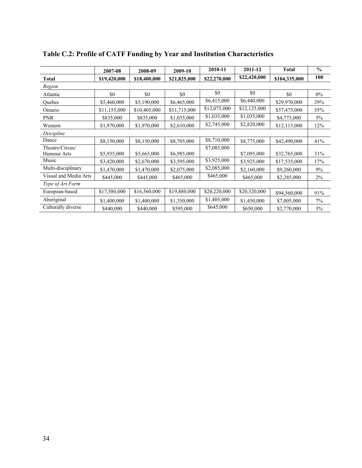|                                | 2007-08      | 2008-09      | 2009-10      | 2010-11      | 2011-12      | <b>Total</b>  | $\frac{0}{0}$ |
|--------------------------------|--------------|--------------|--------------|--------------|--------------|---------------|---------------|
| <b>Total</b>                   | \$19,420,000 | \$18,400,000 | \$21,825,000 | \$22,270,000 | \$22,420,000 | \$104,335,000 | 100           |
| Region                         |              |              |              |              |              |               |               |
| Atlantic                       | \$0          | \$0          | \$0          | \$0          | \$0          | \$0           | $0\%$         |
| Quebec                         | \$5,460,000  | \$5,190,000  | \$6,465,000  | \$6,415,000  | \$6,440,000  | \$29,970,000  | 29%           |
| Ontario                        | \$11,155,000 | \$10,405,000 | \$11,715,000 | \$12,075,000 | \$12,125,000 | \$57,475,000  | 55%           |
| <b>PNR</b>                     | \$835,000    | \$835,000    | \$1,035,000  | \$1,035,000  | \$1,035,000  | \$4,775,000   | 5%            |
| Western                        | \$1,970,000  | \$1,970,000  | \$2,610,000  | \$2,745,000  | \$2,820,000  | \$12,115,000  | 12%           |
| Discipline                     |              |              |              |              |              |               |               |
| Dance                          | \$8,150,000  | \$8,150,000  | \$8,705,000  | \$8,710,000  | \$8,775,000  | \$42,490,000  | 41%           |
| Theatre/Circus/<br>Humour Arts | \$5,935,000  | \$5,665,000  | \$6,985,000  | \$7,085,000  | \$7,095,000  | \$32,765,000  | 31%           |
| Music                          | \$3,420,000  | \$2,670,000  | \$3,595,000  | \$3,925,000  | \$3,925,000  | \$17,535,000  | 17%           |
| Multi-disciplinary             | \$1,470,000  | \$1,470,000  | \$2,075,000  | \$2,085,000  | \$2,160,000  | \$9,260,000   | 9%            |
| Visual and Media Arts          | \$445,000    | \$445,000    | \$465,000    | \$465,000    | \$465,000    | \$2,285,000   | 2%            |
| Type of Art Form               |              |              |              |              |              |               |               |
| European-based                 | \$17,580,000 | \$16,560,000 | \$19,880,000 | \$20,220,000 | \$20,320,000 | \$94,560,000  | 91%           |
| Aboriginal                     | \$1,400,000  | \$1,400,000  | \$1,350,000  | \$1,405,000  | \$1,450,000  | \$7,005,000   | $7\%$         |
| Culturally diverse             | \$440,000    | \$440,000    | \$595,000    | \$645,000    | \$650,000    | \$2,770,000   | 3%            |

# **Table C.2: Profile of CATF Funding by Year and Institution Characteristics**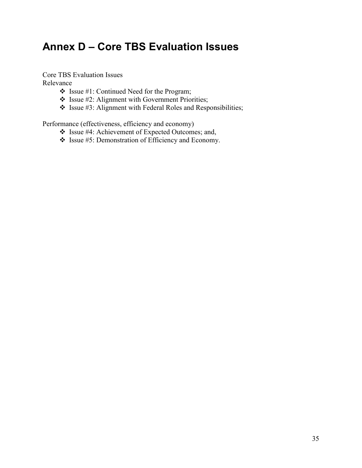# <span id="page-45-0"></span>**Annex D – Core TBS Evaluation Issues**

Core TBS Evaluation Issues

Relevance

- $\cdot$  Issue #1: Continued Need for the Program;
- Issue #2: Alignment with Government Priorities;
- $\cdot$  Issue #3: Alignment with Federal Roles and Responsibilities;

Performance (effectiveness, efficiency and economy)

- Issue #4: Achievement of Expected Outcomes; and,
- Issue #5: Demonstration of Efficiency and Economy.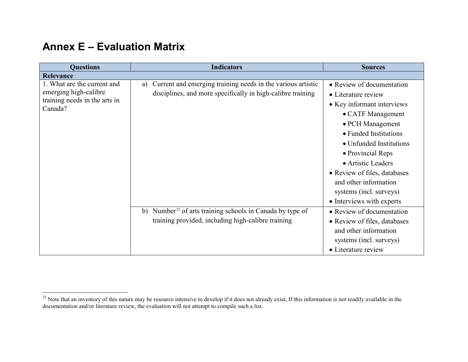# <span id="page-46-1"></span>**Annex E – Evaluation Matrix**

<span id="page-46-0"></span>

| <b>Questions</b>                         | <b>Indicators</b>                                                        | <b>Sources</b>               |
|------------------------------------------|--------------------------------------------------------------------------|------------------------------|
| <b>Relevance</b>                         |                                                                          |                              |
| 1. What are the current and              | Current and emerging training needs in the various artistic<br>a)        | • Review of documentation    |
| emerging high-calibre                    | disciplines, and more specifically in high-calibre training              | • Literature review          |
| training needs in the arts in<br>Canada? |                                                                          | • Key informant interviews   |
|                                          |                                                                          | • CATF Management            |
|                                          |                                                                          | • PCH Management             |
|                                          |                                                                          | • Funded Institutions        |
|                                          |                                                                          | • Unfunded Institutions      |
|                                          |                                                                          | • Provincial Reps            |
|                                          |                                                                          | • Artistic Leaders           |
|                                          |                                                                          | • Review of files, databases |
|                                          |                                                                          | and other information        |
|                                          |                                                                          | systems (incl. surveys)      |
|                                          |                                                                          | • Interviews with experts    |
|                                          | Number <sup>32</sup> of arts training schools in Canada by type of<br>b) | • Review of documentation    |
|                                          | training provided, including high-calibre training                       | • Review of files, databases |
|                                          |                                                                          | and other information        |
|                                          |                                                                          | systems (incl. surveys)      |
|                                          |                                                                          | • Literature review          |

 $32$  Note that an inventory of this nature may be resource intensive to develop if it does not already exist, If this information is not readily available in the documentation and/or literature review, the evaluation will not attempt to compile such a list.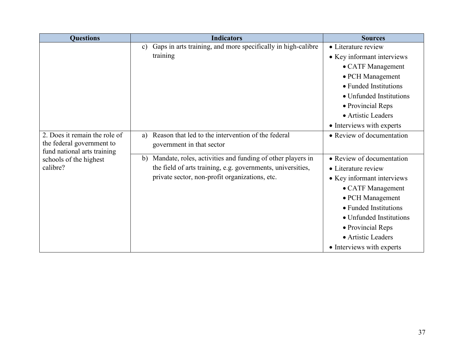<span id="page-47-0"></span>

| <b>Questions</b>                                      | <b>Indicators</b>                                                             | <b>Sources</b>             |
|-------------------------------------------------------|-------------------------------------------------------------------------------|----------------------------|
|                                                       | Gaps in arts training, and more specifically in high-calibre<br>$\mathbf{c})$ | • Literature review        |
|                                                       | training                                                                      | • Key informant interviews |
|                                                       |                                                                               | • CATF Management          |
|                                                       |                                                                               | • PCH Management           |
|                                                       |                                                                               | • Funded Institutions      |
|                                                       |                                                                               | • Unfunded Institutions    |
|                                                       |                                                                               | • Provincial Reps          |
|                                                       |                                                                               | • Artistic Leaders         |
|                                                       |                                                                               | • Interviews with experts  |
| 2. Does it remain the role of                         | Reason that led to the intervention of the federal<br>a)                      | • Review of documentation  |
| the federal government to                             | government in that sector                                                     |                            |
| fund national arts training<br>schools of the highest | Mandate, roles, activities and funding of other players in<br>$\mathbf{b}$    | • Review of documentation  |
| calibre?                                              | the field of arts training, e.g. governments, universities,                   | • Literature review        |
|                                                       | private sector, non-profit organizations, etc.                                | • Key informant interviews |
|                                                       |                                                                               | • CATF Management          |
|                                                       |                                                                               | • PCH Management           |
|                                                       |                                                                               | • Funded Institutions      |
|                                                       |                                                                               | • Unfunded Institutions    |
|                                                       |                                                                               |                            |
|                                                       |                                                                               | • Provincial Reps          |
|                                                       |                                                                               | • Artistic Leaders         |
|                                                       |                                                                               | • Interviews with experts  |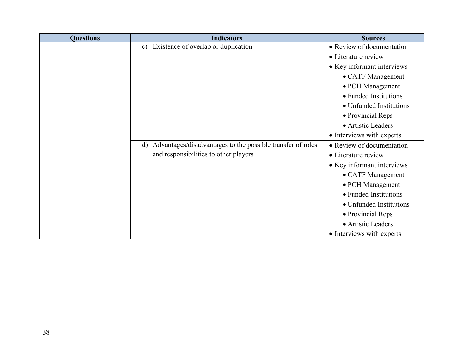| <b>Questions</b> | <b>Indicators</b>                                                          | <b>Sources</b>             |
|------------------|----------------------------------------------------------------------------|----------------------------|
|                  | Existence of overlap or duplication<br>$\mathbf{c})$                       | • Review of documentation  |
|                  |                                                                            | • Literature review        |
|                  |                                                                            | • Key informant interviews |
|                  |                                                                            | • CATF Management          |
|                  |                                                                            | • PCH Management           |
|                  |                                                                            | • Funded Institutions      |
|                  |                                                                            | • Unfunded Institutions    |
|                  |                                                                            | • Provincial Reps          |
|                  |                                                                            | • Artistic Leaders         |
|                  |                                                                            | • Interviews with experts  |
|                  | Advantages/disadvantages to the possible transfer of roles<br>$\mathbf{d}$ | • Review of documentation  |
|                  | and responsibilities to other players                                      | • Literature review        |
|                  |                                                                            | • Key informant interviews |
|                  |                                                                            | • CATF Management          |
|                  |                                                                            | • PCH Management           |
|                  |                                                                            | • Funded Institutions      |
|                  |                                                                            | • Unfunded Institutions    |
|                  |                                                                            | • Provincial Reps          |
|                  |                                                                            | • Artistic Leaders         |
|                  |                                                                            | • Interviews with experts  |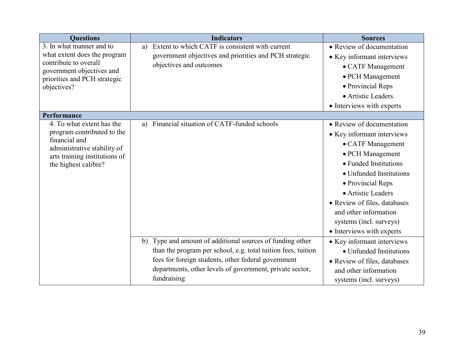| <b>Questions</b>                                   | <b>Indicators</b>                                             | <b>Sources</b>               |
|----------------------------------------------------|---------------------------------------------------------------|------------------------------|
| 3. In what manner and to                           | Extent to which CATF is consistent with current<br>a)         | • Review of documentation    |
| what extent does the program                       | government objectives and priorities and PCH strategic        | • Key informant interviews   |
| contribute to overall<br>government objectives and | objectives and outcomes                                       | • CATF Management            |
| priorities and PCH strategic                       |                                                               | • PCH Management             |
| objectives?                                        |                                                               | • Provincial Reps            |
|                                                    |                                                               | • Artistic Leaders           |
|                                                    |                                                               | • Interviews with experts    |
| Performance                                        |                                                               |                              |
| 4. To what extent has the                          | a) Financial situation of CATF-funded schools                 | • Review of documentation    |
| program contributed to the                         |                                                               | • Key informant interviews   |
| financial and<br>administrative stability of       |                                                               | • CATF Management            |
| arts training institutions of                      |                                                               | • PCH Management             |
| the highest calibre?                               |                                                               | • Funded Institutions        |
|                                                    |                                                               | • Unfunded Institutions      |
|                                                    |                                                               | • Provincial Reps            |
|                                                    |                                                               | • Artistic Leaders           |
|                                                    |                                                               | • Review of files, databases |
|                                                    |                                                               | and other information        |
|                                                    |                                                               | systems (incl. surveys)      |
|                                                    |                                                               | • Interviews with experts    |
|                                                    | b) Type and amount of additional sources of funding other     | • Key informant interviews   |
|                                                    | than the program per school, e.g. total tuition fees, tuition | • Unfunded Institutions      |
|                                                    | fees for foreign students, other federal government           | • Review of files, databases |
|                                                    | departments, other levels of government, private sector,      | and other information        |
|                                                    | fundraising                                                   | systems (incl. surveys)      |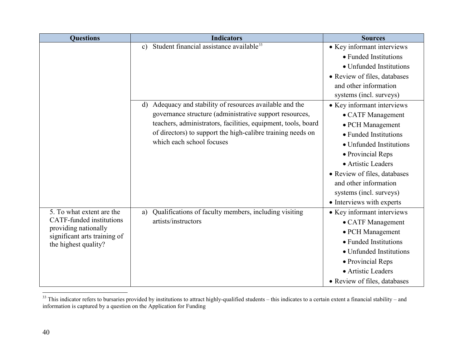<span id="page-50-0"></span>

| <b>Questions</b>                                     | <b>Indicators</b>                                                     | <b>Sources</b>               |
|------------------------------------------------------|-----------------------------------------------------------------------|------------------------------|
|                                                      | Student financial assistance available <sup>33</sup><br>$\mathbf{c})$ | • Key informant interviews   |
|                                                      |                                                                       | • Funded Institutions        |
|                                                      |                                                                       | • Unfunded Institutions      |
|                                                      |                                                                       | • Review of files, databases |
|                                                      |                                                                       | and other information        |
|                                                      |                                                                       | systems (incl. surveys)      |
|                                                      | Adequacy and stability of resources available and the<br>d)           | • Key informant interviews   |
|                                                      | governance structure (administrative support resources,               | • CATF Management            |
|                                                      | teachers, administrators, facilities, equipment, tools, board         | • PCH Management             |
|                                                      | of directors) to support the high-calibre training needs on           | • Funded Institutions        |
|                                                      | which each school focuses                                             | • Unfunded Institutions      |
|                                                      |                                                                       | • Provincial Reps            |
|                                                      |                                                                       | • Artistic Leaders           |
|                                                      |                                                                       | • Review of files, databases |
|                                                      |                                                                       | and other information        |
|                                                      |                                                                       | systems (incl. surveys)      |
|                                                      |                                                                       | • Interviews with experts    |
| 5. To what extent are the                            | Qualifications of faculty members, including visiting<br>a)           | • Key informant interviews   |
| <b>CATF-funded</b> institutions                      | artists/instructors                                                   | • CATF Management            |
| providing nationally<br>significant arts training of |                                                                       | • PCH Management             |
| the highest quality?                                 |                                                                       | • Funded Institutions        |
|                                                      |                                                                       | • Unfunded Institutions      |
|                                                      |                                                                       | • Provincial Reps            |
|                                                      |                                                                       | • Artistic Leaders           |
|                                                      |                                                                       | • Review of files, databases |

 $33$  This indicator refers to bursaries provided by institutions to attract highly-qualified students – this indicates to a certain extent a financial stability – and information is captured by a question on the Application for Funding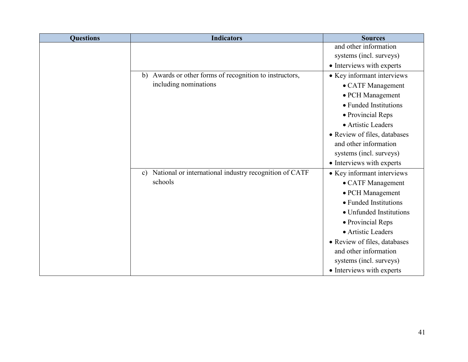| <b>Questions</b> | <b>Indicators</b>                                                       | <b>Sources</b>               |
|------------------|-------------------------------------------------------------------------|------------------------------|
|                  |                                                                         | and other information        |
|                  |                                                                         | systems (incl. surveys)      |
|                  |                                                                         | • Interviews with experts    |
|                  | Awards or other forms of recognition to instructors,<br>b)              | • Key informant interviews   |
|                  | including nominations                                                   | • CATF Management            |
|                  |                                                                         | • PCH Management             |
|                  |                                                                         | • Funded Institutions        |
|                  |                                                                         | • Provincial Reps            |
|                  |                                                                         | • Artistic Leaders           |
|                  |                                                                         | • Review of files, databases |
|                  |                                                                         | and other information        |
|                  |                                                                         | systems (incl. surveys)      |
|                  |                                                                         | • Interviews with experts    |
|                  | National or international industry recognition of CATF<br>$\mathbf{c})$ | • Key informant interviews   |
|                  | schools                                                                 | • CATF Management            |
|                  |                                                                         | • PCH Management             |
|                  |                                                                         | • Funded Institutions        |
|                  |                                                                         | • Unfunded Institutions      |
|                  |                                                                         | • Provincial Reps            |
|                  |                                                                         | • Artistic Leaders           |
|                  |                                                                         | • Review of files, databases |
|                  |                                                                         | and other information        |
|                  |                                                                         | systems (incl. surveys)      |
|                  |                                                                         | • Interviews with experts    |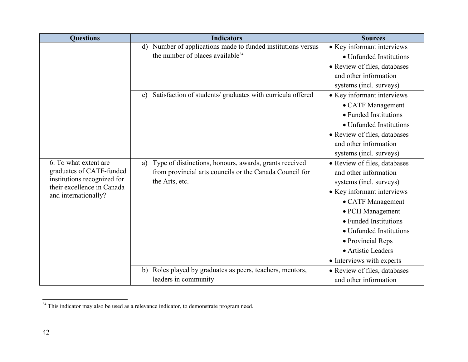<span id="page-52-0"></span>

| <b>Questions</b>                                          | <b>Indicators</b>                                                      | <b>Sources</b>               |  |
|-----------------------------------------------------------|------------------------------------------------------------------------|------------------------------|--|
|                                                           | Number of applications made to funded institutions versus<br>d)        | • Key informant interviews   |  |
|                                                           | the number of places available <sup>34</sup>                           | • Unfunded Institutions      |  |
|                                                           |                                                                        | • Review of files, databases |  |
|                                                           |                                                                        | and other information        |  |
|                                                           |                                                                        | systems (incl. surveys)      |  |
|                                                           | Satisfaction of students/ graduates with curricula offered<br>e)       | • Key informant interviews   |  |
|                                                           |                                                                        | • CATF Management            |  |
|                                                           |                                                                        | • Funded Institutions        |  |
|                                                           |                                                                        | • Unfunded Institutions      |  |
|                                                           |                                                                        | • Review of files, databases |  |
|                                                           |                                                                        | and other information        |  |
|                                                           |                                                                        | systems (incl. surveys)      |  |
| 6. To what extent are                                     | Type of distinctions, honours, awards, grants received<br>a)           | • Review of files, databases |  |
| graduates of CATF-funded                                  | from provincial arts councils or the Canada Council for                | and other information        |  |
| institutions recognized for<br>their excellence in Canada | the Arts, etc.                                                         | systems (incl. surveys)      |  |
| and internationally?                                      |                                                                        | • Key informant interviews   |  |
|                                                           |                                                                        | • CATF Management            |  |
|                                                           |                                                                        | • PCH Management             |  |
|                                                           |                                                                        | • Funded Institutions        |  |
|                                                           |                                                                        | • Unfunded Institutions      |  |
|                                                           |                                                                        | • Provincial Reps            |  |
|                                                           |                                                                        | • Artistic Leaders           |  |
|                                                           |                                                                        | • Interviews with experts    |  |
|                                                           | Roles played by graduates as peers, teachers, mentors,<br>$\mathbf{b}$ | • Review of files, databases |  |
|                                                           | leaders in community                                                   | and other information        |  |

 $34$  This indicator may also be used as a relevance indicator, to demonstrate program need.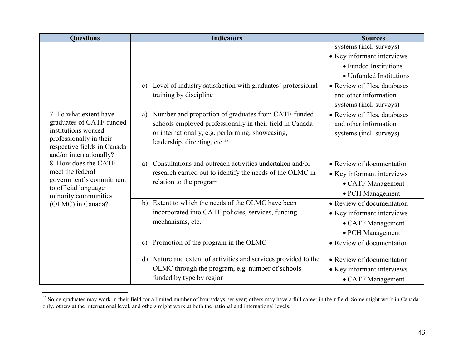<span id="page-53-0"></span>

| <b>Questions</b>                                                                                                 | <b>Indicators</b>                                                           | <b>Sources</b>               |
|------------------------------------------------------------------------------------------------------------------|-----------------------------------------------------------------------------|------------------------------|
|                                                                                                                  |                                                                             | systems (incl. surveys)      |
|                                                                                                                  |                                                                             | • Key informant interviews   |
|                                                                                                                  |                                                                             | • Funded Institutions        |
|                                                                                                                  |                                                                             | • Unfunded Institutions      |
|                                                                                                                  | Level of industry satisfaction with graduates' professional<br>$\mathbf{c}$ | • Review of files, databases |
|                                                                                                                  | training by discipline                                                      | and other information        |
|                                                                                                                  |                                                                             | systems (incl. surveys)      |
| 7. To what extent have                                                                                           | Number and proportion of graduates from CATF-funded<br>a)                   | • Review of files, databases |
| graduates of CATF-funded                                                                                         | schools employed professionally in their field in Canada                    | and other information        |
| institutions worked                                                                                              | or internationally, e.g. performing, showcasing,                            | systems (incl. surveys)      |
| professionally in their<br>respective fields in Canada                                                           | leadership, directing, etc. <sup>35</sup>                                   |                              |
| and/or internationally?                                                                                          |                                                                             |                              |
| 8. How does the CATF                                                                                             | Consultations and outreach activities undertaken and/or<br>a)               | • Review of documentation    |
| meet the federal<br>government's commitment<br>to official language<br>minority communities<br>(OLMC) in Canada? | research carried out to identify the needs of the OLMC in                   | • Key informant interviews   |
|                                                                                                                  | relation to the program                                                     | • CATF Management            |
|                                                                                                                  |                                                                             | • PCH Management             |
|                                                                                                                  | b) Extent to which the needs of the OLMC have been                          | • Review of documentation    |
|                                                                                                                  | incorporated into CATF policies, services, funding                          | • Key informant interviews   |
|                                                                                                                  | mechanisms, etc.                                                            | • CATF Management            |
|                                                                                                                  |                                                                             | • PCH Management             |
|                                                                                                                  | Promotion of the program in the OLMC<br>$\mathbf{c}$                        | • Review of documentation    |
|                                                                                                                  |                                                                             |                              |
|                                                                                                                  | d) Nature and extent of activities and services provided to the             | • Review of documentation    |
|                                                                                                                  | OLMC through the program, e.g. number of schools                            | • Key informant interviews   |
|                                                                                                                  | funded by type by region                                                    | • CATF Management            |

<sup>&</sup>lt;sup>35</sup> Some graduates may work in their field for a limited number of hours/days per year; others may have a full career in their field. Some might work in Canada only, others at the international level, and others might work at both the national and international levels.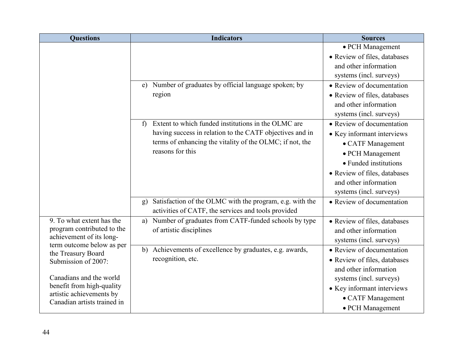| <b>Questions</b>                                        | <b>Indicators</b>                                                   | <b>Sources</b>               |  |  |
|---------------------------------------------------------|---------------------------------------------------------------------|------------------------------|--|--|
|                                                         |                                                                     | • PCH Management             |  |  |
|                                                         |                                                                     | • Review of files, databases |  |  |
|                                                         |                                                                     | and other information        |  |  |
|                                                         |                                                                     | systems (incl. surveys)      |  |  |
|                                                         | e) Number of graduates by official language spoken; by              | • Review of documentation    |  |  |
|                                                         | region                                                              | • Review of files, databases |  |  |
|                                                         |                                                                     | and other information        |  |  |
|                                                         |                                                                     | systems (incl. surveys)      |  |  |
|                                                         | Extent to which funded institutions in the OLMC are<br>$\mathbf{f}$ | • Review of documentation    |  |  |
|                                                         | having success in relation to the CATF objectives and in            | • Key informant interviews   |  |  |
|                                                         | terms of enhancing the vitality of the OLMC; if not, the            | • CATF Management            |  |  |
|                                                         | reasons for this                                                    | • PCH Management             |  |  |
|                                                         |                                                                     | • Funded institutions        |  |  |
|                                                         |                                                                     | • Review of files, databases |  |  |
|                                                         |                                                                     | and other information        |  |  |
|                                                         |                                                                     | systems (incl. surveys)      |  |  |
|                                                         | Satisfaction of the OLMC with the program, e.g. with the<br>g)      | • Review of documentation    |  |  |
|                                                         | activities of CATF, the services and tools provided                 |                              |  |  |
| 9. To what extent has the                               | Number of graduates from CATF-funded schools by type<br>a)          | • Review of files, databases |  |  |
| program contributed to the                              | of artistic disciplines                                             | and other information        |  |  |
| achievement of its long-<br>term outcome below as per   |                                                                     | systems (incl. surveys)      |  |  |
| the Treasury Board                                      | Achievements of excellence by graduates, e.g. awards,<br>b)         | • Review of documentation    |  |  |
| Submission of 2007:<br>Canadians and the world          | recognition, etc.                                                   | • Review of files, databases |  |  |
|                                                         |                                                                     | and other information        |  |  |
|                                                         |                                                                     | systems (incl. surveys)      |  |  |
| benefit from high-quality                               |                                                                     | • Key informant interviews   |  |  |
| artistic achievements by<br>Canadian artists trained in |                                                                     | • CATF Management            |  |  |
|                                                         |                                                                     | • PCH Management             |  |  |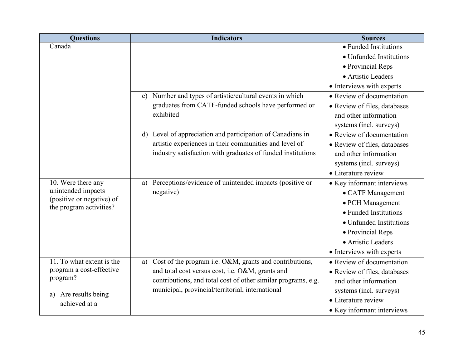| <b>Questions</b>                                | <b>Indicators</b>                                                       | <b>Sources</b>               |
|-------------------------------------------------|-------------------------------------------------------------------------|------------------------------|
| Canada                                          |                                                                         | · Funded Institutions        |
|                                                 |                                                                         | • Unfunded Institutions      |
|                                                 |                                                                         | • Provincial Reps            |
|                                                 |                                                                         | • Artistic Leaders           |
|                                                 |                                                                         | • Interviews with experts    |
|                                                 | Number and types of artistic/cultural events in which<br>$\mathbf{c}$   | • Review of documentation    |
|                                                 | graduates from CATF-funded schools have performed or                    | • Review of files, databases |
|                                                 | exhibited                                                               | and other information        |
|                                                 |                                                                         | systems (incl. surveys)      |
|                                                 | Level of appreciation and participation of Canadians in<br>$\mathbf{d}$ | • Review of documentation    |
|                                                 | artistic experiences in their communities and level of                  | • Review of files, databases |
|                                                 | industry satisfaction with graduates of funded institutions             | and other information        |
|                                                 |                                                                         | systems (incl. surveys)      |
|                                                 |                                                                         | • Literature review          |
| 10. Were there any                              | Perceptions/evidence of unintended impacts (positive or<br>a)           | • Key informant interviews   |
| unintended impacts<br>(positive or negative) of | negative)                                                               | • CATF Management            |
| the program activities?                         |                                                                         | • PCH Management             |
|                                                 |                                                                         | • Funded Institutions        |
|                                                 |                                                                         | • Unfunded Institutions      |
|                                                 |                                                                         | • Provincial Reps            |
|                                                 |                                                                         | • Artistic Leaders           |
|                                                 |                                                                         | • Interviews with experts    |
| 11. To what extent is the                       | Cost of the program i.e. O&M, grants and contributions,<br>a)           | • Review of documentation    |
| program a cost-effective                        | and total cost versus cost, i.e. O&M, grants and                        | • Review of files, databases |
| program?<br>Are results being<br>a)             | contributions, and total cost of other similar programs, e.g.           | and other information        |
|                                                 | municipal, provincial/territorial, international                        | systems (incl. surveys)      |
| achieved at a                                   |                                                                         | • Literature review          |
|                                                 |                                                                         | • Key informant interviews   |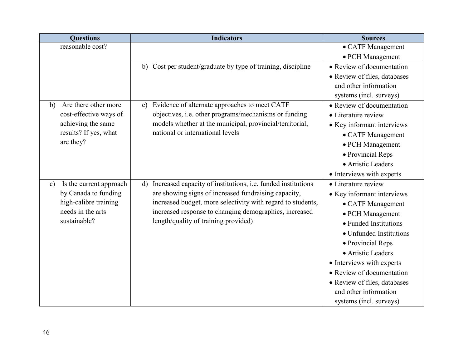| <b>Questions</b>                         | <b>Indicators</b>                                                            | <b>Sources</b>               |  |
|------------------------------------------|------------------------------------------------------------------------------|------------------------------|--|
| reasonable cost?                         |                                                                              | • CATF Management            |  |
|                                          |                                                                              | • PCH Management             |  |
|                                          | b) Cost per student/graduate by type of training, discipline                 | • Review of documentation    |  |
|                                          |                                                                              | • Review of files, databases |  |
|                                          |                                                                              | and other information        |  |
|                                          |                                                                              | systems (incl. surveys)      |  |
| Are there other more<br>b)               | Evidence of alternate approaches to meet CATF<br>$\mathbf{c}$ )              | • Review of documentation    |  |
| cost-effective ways of                   | objectives, i.e. other programs/mechanisms or funding                        | • Literature review          |  |
| achieving the same                       | models whether at the municipal, provincial/territorial,                     | • Key informant interviews   |  |
| results? If yes, what                    | national or international levels                                             | • CATF Management            |  |
| are they?                                |                                                                              | • PCH Management             |  |
|                                          |                                                                              | • Provincial Reps            |  |
|                                          |                                                                              | • Artistic Leaders           |  |
|                                          |                                                                              | • Interviews with experts    |  |
| Is the current approach<br>$\mathbf{c})$ | Increased capacity of institutions, i.e. funded institutions<br>$\mathbf{d}$ | • Literature review          |  |
| by Canada to funding                     | are showing signs of increased fundraising capacity,                         | • Key informant interviews   |  |
| high-calibre training                    | increased budget, more selectivity with regard to students,                  | • CATF Management            |  |
| needs in the arts                        | increased response to changing demographics, increased                       | • PCH Management             |  |
| sustainable?                             | length/quality of training provided)                                         | • Funded Institutions        |  |
|                                          |                                                                              | • Unfunded Institutions      |  |
|                                          |                                                                              | • Provincial Reps            |  |
|                                          |                                                                              | • Artistic Leaders           |  |
|                                          |                                                                              | • Interviews with experts    |  |
|                                          |                                                                              | • Review of documentation    |  |
|                                          |                                                                              | • Review of files, databases |  |
|                                          |                                                                              | and other information        |  |
|                                          |                                                                              | systems (incl. surveys)      |  |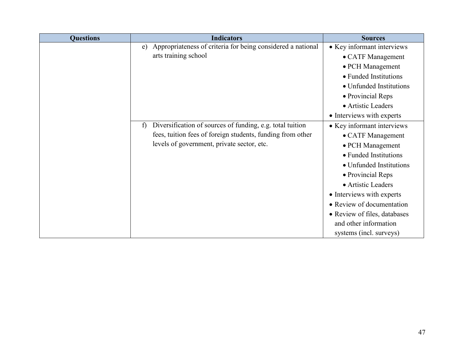| <b>Questions</b> | <b>Indicators</b>                                                 | <b>Sources</b>               |
|------------------|-------------------------------------------------------------------|------------------------------|
|                  | Appropriateness of criteria for being considered a national<br>e) | • Key informant interviews   |
|                  | arts training school                                              | • CATF Management            |
|                  |                                                                   | • PCH Management             |
|                  |                                                                   | • Funded Institutions        |
|                  |                                                                   | • Unfunded Institutions      |
|                  |                                                                   | • Provincial Reps            |
|                  |                                                                   | • Artistic Leaders           |
|                  |                                                                   | • Interviews with experts    |
|                  | Diversification of sources of funding, e.g. total tuition<br>f)   | • Key informant interviews   |
|                  | fees, tuition fees of foreign students, funding from other        | • CATF Management            |
|                  | levels of government, private sector, etc.                        | • PCH Management             |
|                  |                                                                   | • Funded Institutions        |
|                  |                                                                   | • Unfunded Institutions      |
|                  |                                                                   | • Provincial Reps            |
|                  |                                                                   | • Artistic Leaders           |
|                  |                                                                   | • Interviews with experts    |
|                  |                                                                   | • Review of documentation    |
|                  |                                                                   | • Review of files, databases |
|                  |                                                                   | and other information        |
|                  |                                                                   | systems (incl. surveys)      |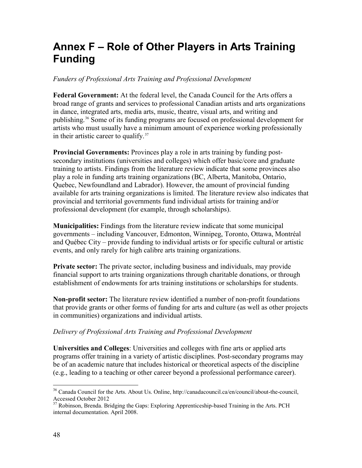# <span id="page-58-0"></span>**Annex F – Role of Other Players in Arts Training Funding**

#### *Funders of Professional Arts Training and Professional Development*

**Federal Government:** At the federal level, the Canada Council for the Arts offers a broad range of grants and services to professional Canadian artists and arts organizations in dance, integrated arts, media arts, music, theatre, visual arts, and writing and publishing.[36](#page-58-1) Some of its funding programs are focused on professional development for artists who must usually have a minimum amount of experience working professionally in their artistic career to qualify. $37$ 

**Provincial Governments:** Provinces play a role in arts training by funding postsecondary institutions (universities and colleges) which offer basic/core and graduate training to artists. Findings from the literature review indicate that some provinces also play a role in funding arts training organizations (BC, Alberta, Manitoba, Ontario, Quebec, Newfoundland and Labrador). However, the amount of provincial funding available for arts training organizations is limited. The literature review also indicates that provincial and territorial governments fund individual artists for training and/or professional development (for example, through scholarships).

**Municipalities:** Findings from the literature review indicate that some municipal governments – including Vancouver, Edmonton, Winnipeg, Toronto, Ottawa, Montréal and Québec City – provide funding to individual artists or for specific cultural or artistic events, and only rarely for high calibre arts training organizations.

**Private sector:** The private sector, including business and individuals, may provide financial support to arts training organizations through charitable donations, or through establishment of endowments for arts training institutions or scholarships for students.

**Non-profit sector:** The literature review identified a number of non-profit foundations that provide grants or other forms of funding for arts and culture (as well as other projects in communities) organizations and individual artists.

#### *Delivery of Professional Arts Training and Professional Development*

**Universities and Colleges**: Universities and colleges with fine arts or applied arts programs offer training in a variety of artistic disciplines. Post-secondary programs may be of an academic nature that includes historical or theoretical aspects of the discipline (e.g., leading to a teaching or other career beyond a professional performance career).

<span id="page-58-1"></span><sup>36</sup> Canada Council for the Arts. About Us. Online, http://canadacouncil.ca/en/council/about-the-council, Accessed October 2012

<span id="page-58-2"></span><sup>&</sup>lt;sup>37</sup> Robinson, Brenda. Bridging the Gaps: Exploring Apprenticeship-based Training in the Arts. PCH internal documentation. April 2008.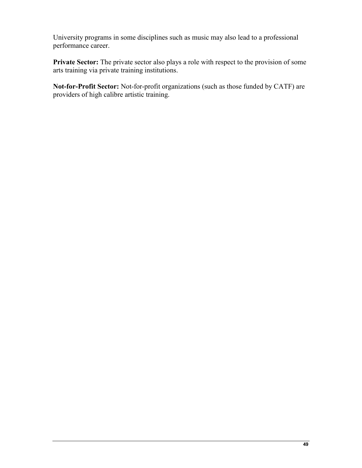University programs in some disciplines such as music may also lead to a professional performance career.

**Private Sector:** The private sector also plays a role with respect to the provision of some arts training via private training institutions.

**Not-for-Profit Sector:** Not-for-profit organizations (such as those funded by CATF) are providers of high calibre artistic training.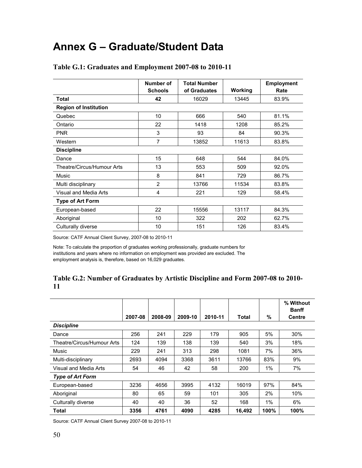# <span id="page-60-0"></span>**Annex G – Graduate/Student Data**

|                              | Number of      | <b>Total Number</b> |         | Employment |  |
|------------------------------|----------------|---------------------|---------|------------|--|
|                              | <b>Schools</b> | of Graduates        | Working | Rate       |  |
| Total                        | 42             | 16029               | 13445   | 83.9%      |  |
| <b>Region of Institution</b> |                |                     |         |            |  |
| Quebec                       | 10             | 666                 | 540     | 81.1%      |  |
| Ontario                      | 22             | 1418                | 1208    | 85.2%      |  |
| <b>PNR</b>                   | 3              | 93                  | 84      | 90.3%      |  |
| Western                      | 7              | 13852               | 11613   | 83.8%      |  |
| <b>Discipline</b>            |                |                     |         |            |  |
| Dance                        | 15             | 648                 | 544     | 84.0%      |  |
| Theatre/Circus/Humour Arts   | 13             | 553                 | 509     | 92.0%      |  |
| Music                        | 8              | 841                 | 729     | 86.7%      |  |
| Multi disciplinary           | $\overline{2}$ | 13766               | 11534   | 83.8%      |  |
| Visual and Media Arts        | 4              | 221                 | 129     | 58.4%      |  |
| <b>Type of Art Form</b>      |                |                     |         |            |  |
| European-based               | 22             | 15556               | 13117   | 84.3%      |  |
| Aboriginal                   | 10             | 322                 | 202     | 62.7%      |  |
| Culturally diverse           | 10             | 151                 | 126     | 83.4%      |  |
|                              |                |                     |         |            |  |

#### **Table G.1: Graduates and Employment 2007-08 to 2010-11**

Source: CATF Annual Client Survey, 2007-08 to 2010-11

Note: To calculate the proportion of graduates working professionally, graduate numbers for institutions and years where no information on employment was provided are excluded. The employment analysis is, therefore, based on 16,029 graduates.

#### **Table G.2: Number of Graduates by Artistic Discipline and Form 2007-08 to 2010- 11**

|                            |         |         |         |         |        |      | % Without<br><b>Banff</b> |
|----------------------------|---------|---------|---------|---------|--------|------|---------------------------|
|                            | 2007-08 | 2008-09 | 2009-10 | 2010-11 | Total  | $\%$ | <b>Centre</b>             |
| <b>Discipline</b>          |         |         |         |         |        |      |                           |
| Dance                      | 256     | 241     | 229     | 179     | 905    | 5%   | 30%                       |
| Theatre/Circus/Humour Arts | 124     | 139     | 138     | 139     | 540    | 3%   | 18%                       |
| Music                      | 229     | 241     | 313     | 298     | 1081   | 7%   | 36%                       |
| Multi-disciplinary         | 2693    | 4094    | 3368    | 3611    | 13766  | 83%  | 9%                        |
| Visual and Media Arts      | 54      | 46      | 42      | 58      | 200    | 1%   | 7%                        |
| <b>Type of Art Form</b>    |         |         |         |         |        |      |                           |
| European-based             | 3236    | 4656    | 3995    | 4132    | 16019  | 97%  | 84%                       |
| Aboriginal                 | 80      | 65      | 59      | 101     | 305    | 2%   | 10%                       |
| Culturally diverse         | 40      | 40      | 36      | 52      | 168    | 1%   | 6%                        |
| Total                      | 3356    | 4761    | 4090    | 4285    | 16,492 | 100% | 100%                      |

Source: CATF Annual Client Survey 2007-08 to 2010-11